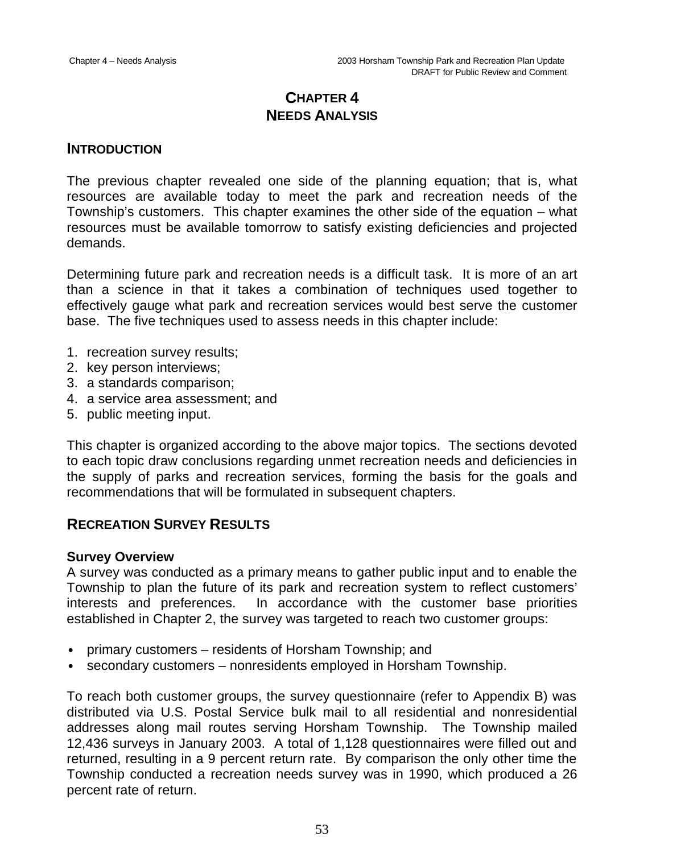# **CHAPTER 4 NEEDS ANALYSIS**

## **INTRODUCTION**

The previous chapter revealed one side of the planning equation; that is, what resources are available today to meet the park and recreation needs of the Township's customers. This chapter examines the other side of the equation – what resources must be available tomorrow to satisfy existing deficiencies and projected demands.

Determining future park and recreation needs is a difficult task. It is more of an art than a science in that it takes a combination of techniques used together to effectively gauge what park and recreation services would best serve the customer base. The five techniques used to assess needs in this chapter include:

- 1. recreation survey results;
- 2. key person interviews;
- 3. a standards comparison;
- 4. a service area assessment; and
- 5. public meeting input.

This chapter is organized according to the above major topics. The sections devoted to each topic draw conclusions regarding unmet recreation needs and deficiencies in the supply of parks and recreation services, forming the basis for the goals and recommendations that will be formulated in subsequent chapters.

# **RECREATION SURVEY RESULTS**

#### **Survey Overview**

A survey was conducted as a primary means to gather public input and to enable the Township to plan the future of its park and recreation system to reflect customers' interests and preferences. In accordance with the customer base priorities established in Chapter 2, the survey was targeted to reach two customer groups:

- primary customers residents of Horsham Township; and
- secondary customers nonresidents employed in Horsham Township.

To reach both customer groups, the survey questionnaire (refer to Appendix B) was distributed via U.S. Postal Service bulk mail to all residential and nonresidential addresses along mail routes serving Horsham Township. The Township mailed 12,436 surveys in January 2003. A total of 1,128 questionnaires were filled out and returned, resulting in a 9 percent return rate. By comparison the only other time the Township conducted a recreation needs survey was in 1990, which produced a 26 percent rate of return.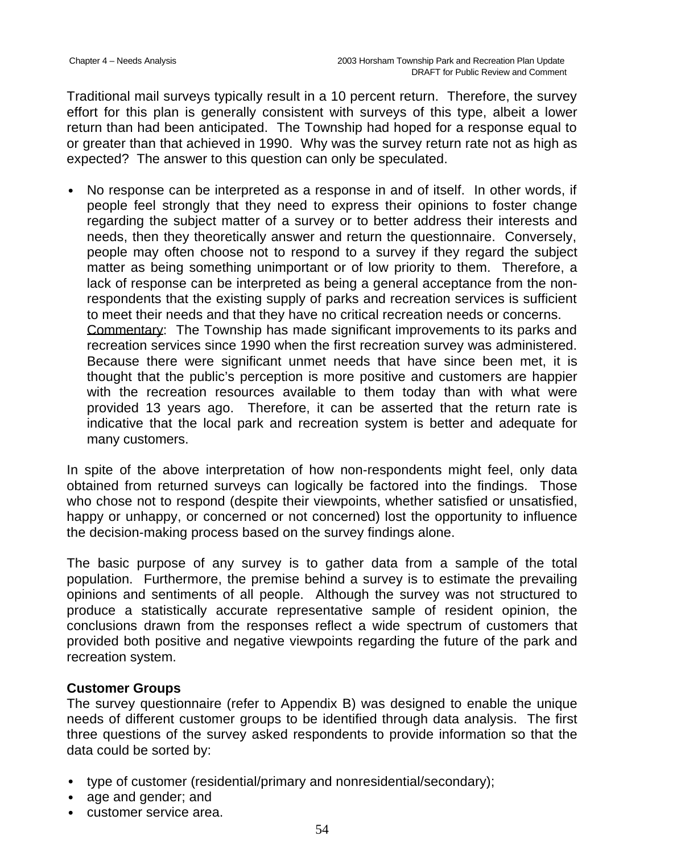Traditional mail surveys typically result in a 10 percent return. Therefore, the survey effort for this plan is generally consistent with surveys of this type, albeit a lower return than had been anticipated. The Township had hoped for a response equal to or greater than that achieved in 1990. Why was the survey return rate not as high as expected? The answer to this question can only be speculated.

• No response can be interpreted as a response in and of itself. In other words, if people feel strongly that they need to express their opinions to foster change regarding the subject matter of a survey or to better address their interests and needs, then they theoretically answer and return the questionnaire. Conversely, people may often choose not to respond to a survey if they regard the subject matter as being something unimportant or of low priority to them. Therefore, a lack of response can be interpreted as being a general acceptance from the nonrespondents that the existing supply of parks and recreation services is sufficient to meet their needs and that they have no critical recreation needs or concerns. Commentary: The Township has made significant improvements to its parks and recreation services since 1990 when the first recreation survey was administered. Because there were significant unmet needs that have since been met, it is thought that the public's perception is more positive and customers are happier with the recreation resources available to them today than with what were provided 13 years ago. Therefore, it can be asserted that the return rate is indicative that the local park and recreation system is better and adequate for many customers.

In spite of the above interpretation of how non-respondents might feel, only data obtained from returned surveys can logically be factored into the findings. Those who chose not to respond (despite their viewpoints, whether satisfied or unsatisfied, happy or unhappy, or concerned or not concerned) lost the opportunity to influence the decision-making process based on the survey findings alone.

The basic purpose of any survey is to gather data from a sample of the total population. Furthermore, the premise behind a survey is to estimate the prevailing opinions and sentiments of all people. Although the survey was not structured to produce a statistically accurate representative sample of resident opinion, the conclusions drawn from the responses reflect a wide spectrum of customers that provided both positive and negative viewpoints regarding the future of the park and recreation system.

## **Customer Groups**

The survey questionnaire (refer to Appendix B) was designed to enable the unique needs of different customer groups to be identified through data analysis. The first three questions of the survey asked respondents to provide information so that the data could be sorted by:

- type of customer (residential/primary and nonresidential/secondary);
- age and gender; and
- customer service area.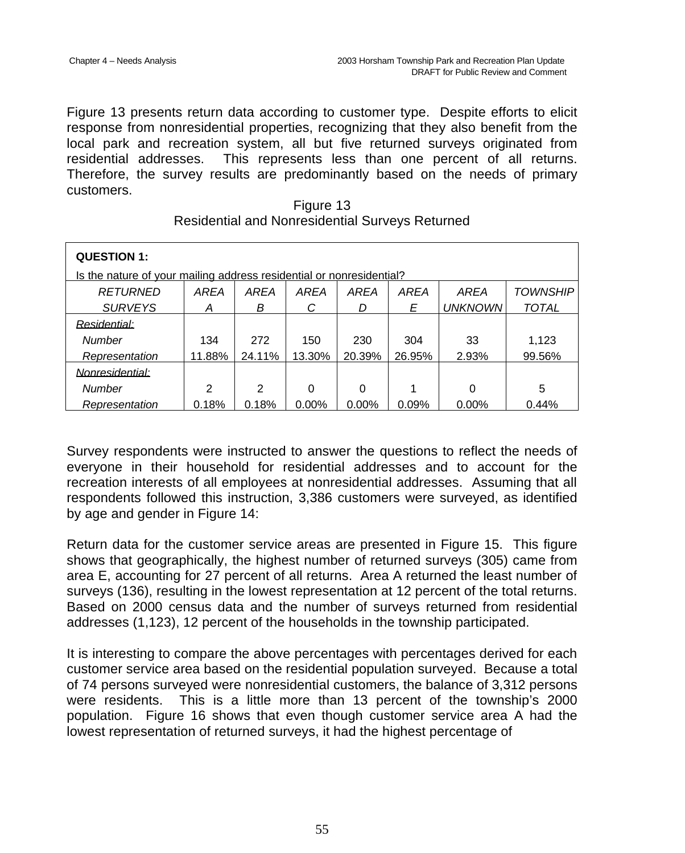Figure 13 presents return data according to customer type. Despite efforts to elicit response from nonresidential properties, recognizing that they also benefit from the local park and recreation system, all but five returned surveys originated from residential addresses. This represents less than one percent of all returns. Therefore, the survey results are predominantly based on the needs of primary customers.

| <b>QUESTION 1:</b>                                                   |        |        |          |          |        |                |                 |
|----------------------------------------------------------------------|--------|--------|----------|----------|--------|----------------|-----------------|
| Is the nature of your mailing address residential or nonresidential? |        |        |          |          |        |                |                 |
| <b>RETURNED</b>                                                      | AREA   | AREA   | AREA     | AREA     | AREA   | AREA           | <b>TOWNSHIP</b> |
| <b>SURVEYS</b>                                                       | Α      | В      | С        | D        | E      | <b>UNKNOWN</b> | <b>TOTAL</b>    |
| Residential:                                                         |        |        |          |          |        |                |                 |
| Number                                                               | 134    | 272    | 150      | 230      | 304    | 33             | 1,123           |
| Representation                                                       | 11.88% | 24.11% | 13.30%   | 20.39%   | 26.95% | 2.93%          | 99.56%          |
| Nonresidential:                                                      |        |        |          |          |        |                |                 |
| Number                                                               | 2      | 2      | 0        | $\Omega$ | 1      | 0              | 5               |
| Representation                                                       | 0.18%  | 0.18%  | $0.00\%$ | $0.00\%$ | 0.09%  | $0.00\%$       | 0.44%           |

| Figure 13                                       |
|-------------------------------------------------|
| Residential and Nonresidential Surveys Returned |

Survey respondents were instructed to answer the questions to reflect the needs of everyone in their household for residential addresses and to account for the recreation interests of all employees at nonresidential addresses. Assuming that all respondents followed this instruction, 3,386 customers were surveyed, as identified by age and gender in Figure 14:

Return data for the customer service areas are presented in Figure 15. This figure shows that geographically, the highest number of returned surveys (305) came from area E, accounting for 27 percent of all returns. Area A returned the least number of surveys (136), resulting in the lowest representation at 12 percent of the total returns. Based on 2000 census data and the number of surveys returned from residential addresses (1,123), 12 percent of the households in the township participated.

It is interesting to compare the above percentages with percentages derived for each customer service area based on the residential population surveyed. Because a total of 74 persons surveyed were nonresidential customers, the balance of 3,312 persons were residents. This is a little more than 13 percent of the township's 2000 population. Figure 16 shows that even though customer service area A had the lowest representation of returned surveys, it had the highest percentage of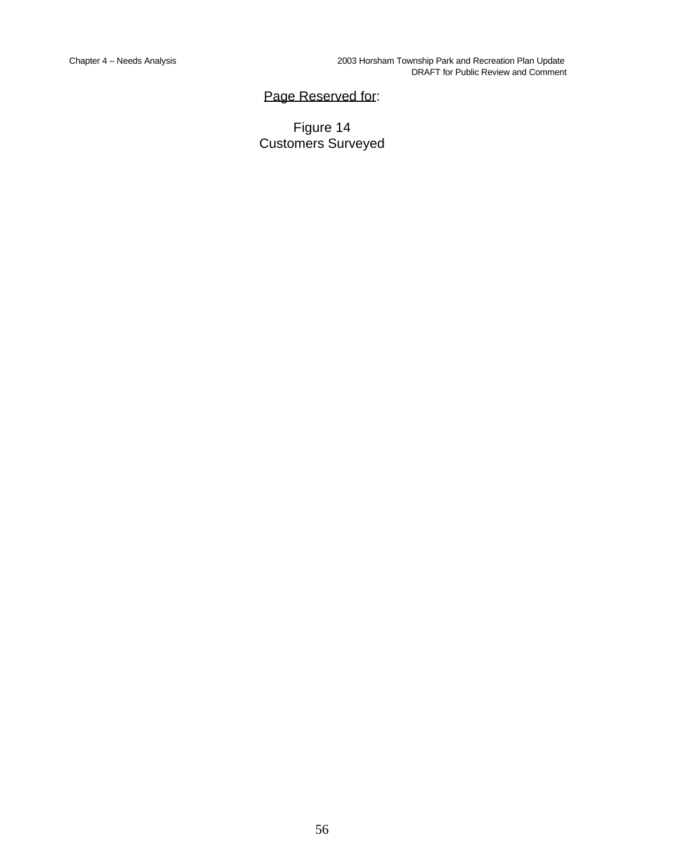# Page Reserved for:

Figure 14 Customers Surveyed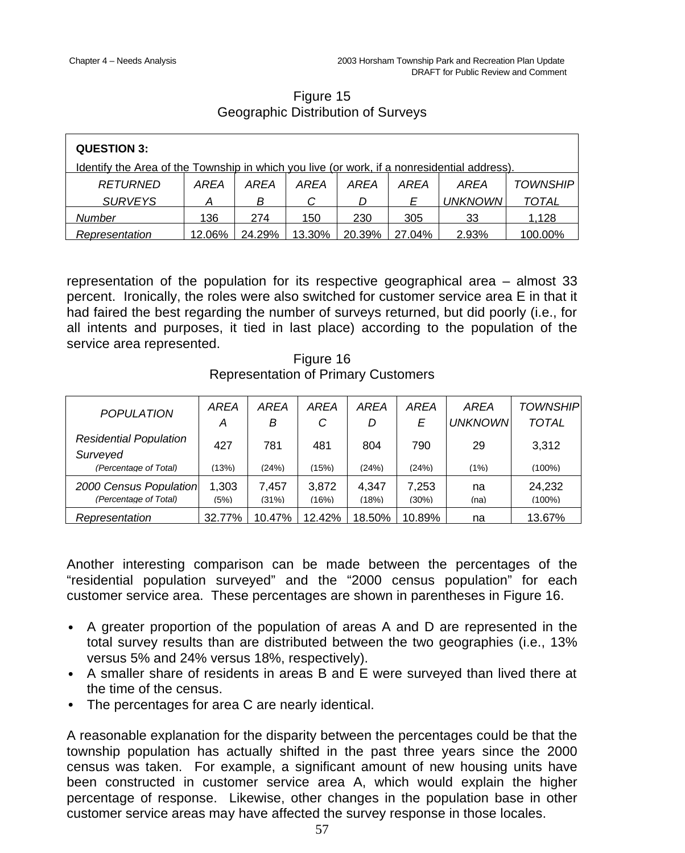# Figure 15 Geographic Distribution of Surveys

| <b>QUESTION 3:</b>                                                                          |        |        |        |        |        |                |                 |
|---------------------------------------------------------------------------------------------|--------|--------|--------|--------|--------|----------------|-----------------|
| Identify the Area of the Township in which you live (or work, if a nonresidential address). |        |        |        |        |        |                |                 |
| RETURNED                                                                                    | AREA   | AREA   | AREA   | AREA   | AREA   | AREA           | <b>TOWNSHIP</b> |
| <b>SURVEYS</b>                                                                              |        | B      | C      |        | F      | <b>UNKNOWN</b> | <b>TOTAL</b>    |
| Number                                                                                      | 136    | 274    | 150    | 230    | 305    | 33             | 1.128           |
| Representation                                                                              | 12.06% | 24.29% | 13.30% | 20.39% | 27.04% | 2.93%          | 100.00%         |

representation of the population for its respective geographical area – almost 33 percent. Ironically, the roles were also switched for customer service area E in that it had faired the best regarding the number of surveys returned, but did poorly (i.e., for all intents and purposes, it tied in last place) according to the population of the service area represented.

Figure 16 Representation of Primary Customers

| <b>POPULATION</b>                               | <b>AREA</b><br>А | AREA<br>в      | AREA<br>С      | <b>AREA</b><br>D | <b>AREA</b><br>E | AREA<br><b>UNKNOWN</b> | <b>TOWNSHIP</b><br><b>TOTAL</b> |
|-------------------------------------------------|------------------|----------------|----------------|------------------|------------------|------------------------|---------------------------------|
| <b>Residential Population</b><br>Surveved       | 427              | 781            | 481            | 804              | 790              | 29                     | 3.312                           |
| (Percentage of Total)                           | (13%)            | (24%)          | (15%)          | (24%)            | (24%)            | (1%)                   | $(100\%)$                       |
| 2000 Census Population<br>(Percentage of Total) | 1,303<br>(5%)    | 7.457<br>(31%) | 3,872<br>(16%) | 4.347<br>(18%)   | 7.253<br>(30%)   | na<br>(na)             | 24.232<br>$(100\%)$             |
| Representation                                  | 32.77%           | 10.47%         | 12.42%         | 18.50%           | 10.89%           | na                     | 13.67%                          |

Another interesting comparison can be made between the percentages of the "residential population surveyed" and the "2000 census population" for each customer service area. These percentages are shown in parentheses in Figure 16.

- A greater proportion of the population of areas A and D are represented in the total survey results than are distributed between the two geographies (i.e., 13% versus 5% and 24% versus 18%, respectively).
- A smaller share of residents in areas B and E were surveyed than lived there at the time of the census.
- The percentages for area C are nearly identical.

A reasonable explanation for the disparity between the percentages could be that the township population has actually shifted in the past three years since the 2000 census was taken. For example, a significant amount of new housing units have been constructed in customer service area A, which would explain the higher percentage of response. Likewise, other changes in the population base in other customer service areas may have affected the survey response in those locales.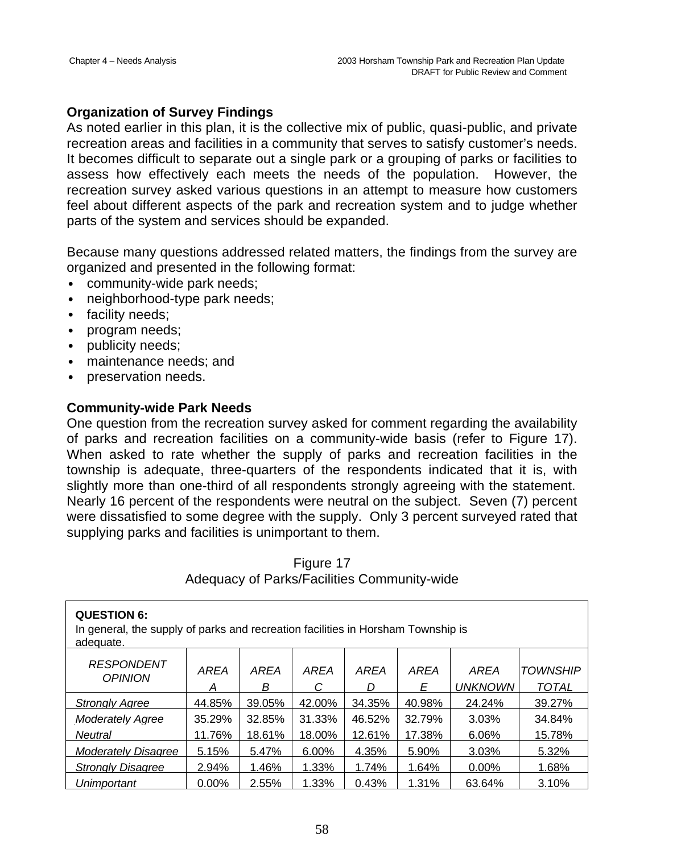## **Organization of Survey Findings**

As noted earlier in this plan, it is the collective mix of public, quasi-public, and private recreation areas and facilities in a community that serves to satisfy customer's needs. It becomes difficult to separate out a single park or a grouping of parks or facilities to assess how effectively each meets the needs of the population. However, the recreation survey asked various questions in an attempt to measure how customers feel about different aspects of the park and recreation system and to judge whether parts of the system and services should be expanded.

Because many questions addressed related matters, the findings from the survey are organized and presented in the following format:

- community-wide park needs;
- neighborhood-type park needs;
- facility needs;
- program needs;
- publicity needs;
- maintenance needs; and
- preservation needs.

### **Community-wide Park Needs**

One question from the recreation survey asked for comment regarding the availability of parks and recreation facilities on a community-wide basis (refer to Figure 17). When asked to rate whether the supply of parks and recreation facilities in the township is adequate, three-quarters of the respondents indicated that it is, with slightly more than one-third of all respondents strongly agreeing with the statement. Nearly 16 percent of the respondents were neutral on the subject. Seven (7) percent were dissatisfied to some degree with the supply. Only 3 percent surveyed rated that supplying parks and facilities is unimportant to them.

| <b>QUESTION 6:</b><br>In general, the supply of parks and recreation facilities in Horsham Township is<br>adequate. |           |           |           |           |                  |                               |                                 |  |  |
|---------------------------------------------------------------------------------------------------------------------|-----------|-----------|-----------|-----------|------------------|-------------------------------|---------------------------------|--|--|
| <b>RESPONDENT</b><br><b>OPINION</b>                                                                                 | AREA<br>Α | AREA<br>В | AREA<br>С | AREA<br>D | <b>AREA</b><br>Е | <b>AREA</b><br><b>UNKNOWN</b> | <b>TOWNSHIP</b><br><b>TOTAL</b> |  |  |
| <b>Strongly Agree</b>                                                                                               | 44.85%    | 39.05%    | 42.00%    | 34.35%    | 40.98%           | 24.24%                        | 39.27%                          |  |  |
| <b>Moderately Agree</b>                                                                                             | 35.29%    | 32.85%    | 31.33%    | 46.52%    | 32.79%           | 3.03%                         | 34.84%                          |  |  |
| Neutral                                                                                                             | 11.76%    | 18.61%    | 18.00%    | 12.61%    | 17.38%           | 6.06%                         | 15.78%                          |  |  |
| <b>Moderately Disagree</b>                                                                                          | 5.15%     | 5.47%     | 6.00%     | 4.35%     | 5.90%            | 3.03%                         | 5.32%                           |  |  |
| <b>Strongly Disagree</b>                                                                                            | 2.94%     | 1.46%     | 1.33%     | 1.74%     | 1.64%            | $0.00\%$                      | 1.68%                           |  |  |
| Unimportant                                                                                                         | $0.00\%$  | 2.55%     | 1.33%     | 0.43%     | 1.31%            | 63.64%                        | 3.10%                           |  |  |

## Figure 17 Adequacy of Parks/Facilities Community-wide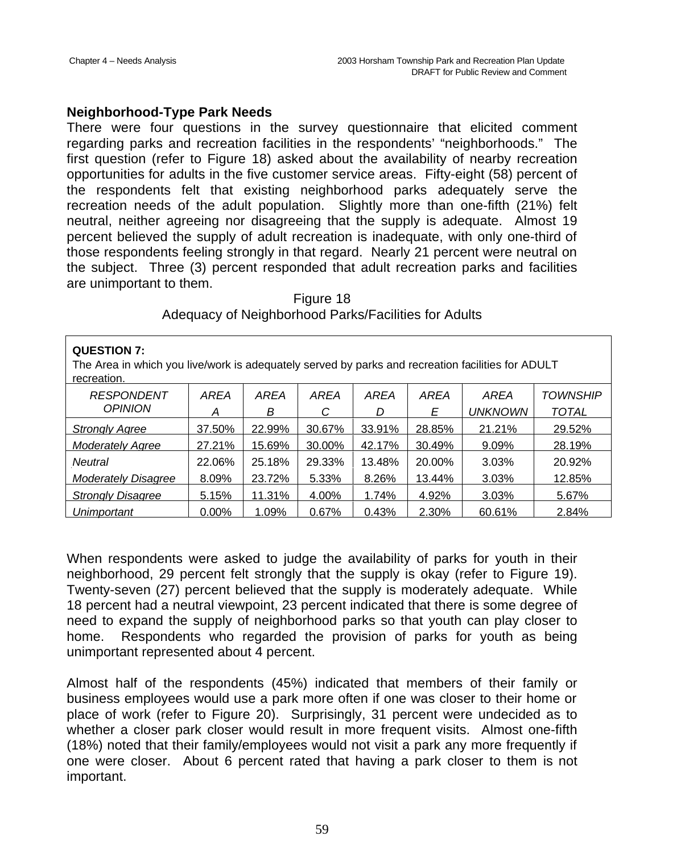### **Neighborhood-Type Park Needs**

There were four questions in the survey questionnaire that elicited comment regarding parks and recreation facilities in the respondents' "neighborhoods." The first question (refer to Figure 18) asked about the availability of nearby recreation opportunities for adults in the five customer service areas. Fifty-eight (58) percent of the respondents felt that existing neighborhood parks adequately serve the recreation needs of the adult population. Slightly more than one-fifth (21%) felt neutral, neither agreeing nor disagreeing that the supply is adequate. Almost 19 percent believed the supply of adult recreation is inadequate, with only one-third of those respondents feeling strongly in that regard. Nearly 21 percent were neutral on the subject. Three (3) percent responded that adult recreation parks and facilities are unimportant to them.

| Figure 18                                            |  |
|------------------------------------------------------|--|
| Adequacy of Neighborhood Parks/Facilities for Adults |  |

| <b>QUESTION 7:</b><br>The Area in which you live/work is adequately served by parks and recreation facilities for ADULT<br>recreation. |          |        |             |        |        |                |                 |  |
|----------------------------------------------------------------------------------------------------------------------------------------|----------|--------|-------------|--------|--------|----------------|-----------------|--|
| <b>RESPONDENT</b>                                                                                                                      | AREA     | AREA   | <b>AREA</b> | AREA   | AREA   | AREA           | <i>TOWNSHIP</i> |  |
| <b>OPINION</b>                                                                                                                         | Α        | В      | С           | D      | E      | <b>UNKNOWN</b> | <b>TOTAL</b>    |  |
| <b>Strongly Agree</b>                                                                                                                  | 37.50%   | 22.99% | 30.67%      | 33.91% | 28.85% | 21.21%         | 29.52%          |  |
| <b>Moderately Agree</b>                                                                                                                | 27.21%   | 15.69% | 30.00%      | 42.17% | 30.49% | 9.09%          | 28.19%          |  |
| <b>Neutral</b>                                                                                                                         | 22.06%   | 25.18% | 29.33%      | 13.48% | 20.00% | 3.03%          | 20.92%          |  |
| Moderately Disagree                                                                                                                    | 8.09%    | 23.72% | 5.33%       | 8.26%  | 13.44% | 3.03%          | 12.85%          |  |
| <b>Strongly Disagree</b>                                                                                                               | 5.15%    | 11.31% | 4.00%       | 1.74%  | 4.92%  | 3.03%          | 5.67%           |  |
| Unimportant                                                                                                                            | $0.00\%$ | 1.09%  | 0.67%       | 0.43%  | 2.30%  | 60.61%         | 2.84%           |  |

When respondents were asked to judge the availability of parks for youth in their neighborhood, 29 percent felt strongly that the supply is okay (refer to Figure 19). Twenty-seven (27) percent believed that the supply is moderately adequate. While 18 percent had a neutral viewpoint, 23 percent indicated that there is some degree of need to expand the supply of neighborhood parks so that youth can play closer to home. Respondents who regarded the provision of parks for youth as being unimportant represented about 4 percent.

Almost half of the respondents (45%) indicated that members of their family or business employees would use a park more often if one was closer to their home or place of work (refer to Figure 20). Surprisingly, 31 percent were undecided as to whether a closer park closer would result in more frequent visits. Almost one-fifth (18%) noted that their family/employees would not visit a park any more frequently if one were closer. About 6 percent rated that having a park closer to them is not important.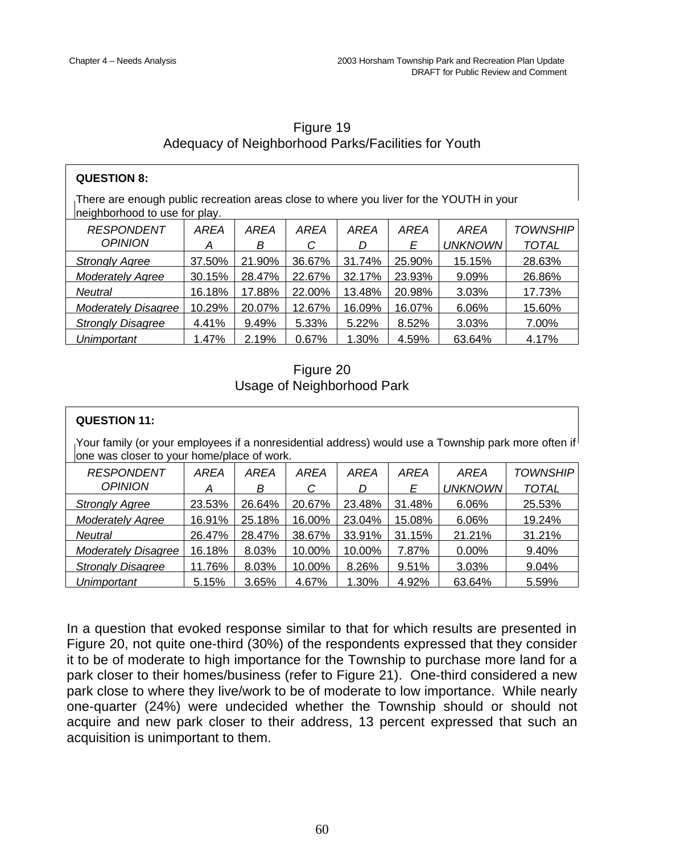| Figure 19                                           |  |
|-----------------------------------------------------|--|
| Adequacy of Neighborhood Parks/Facilities for Youth |  |

| <b>QUESTION 8:</b>                                                                                                       |        |        |        |        |        |                |                 |  |
|--------------------------------------------------------------------------------------------------------------------------|--------|--------|--------|--------|--------|----------------|-----------------|--|
| There are enough public recreation areas close to where you liver for the YOUTH in your<br>neighborhood to use for play. |        |        |        |        |        |                |                 |  |
| <b>RESPONDENT</b>                                                                                                        | AREA   | AREA   | AREA   | AREA   | AREA   | AREA           | <i>TOWNSHIP</i> |  |
| <b>OPINION</b>                                                                                                           | А      | В      | С      | D      | Е      | <b>UNKNOWN</b> | <b>TOTAL</b>    |  |
| <b>Strongly Agree</b>                                                                                                    | 37.50% | 21.90% | 36.67% | 31.74% | 25.90% | 15.15%         | 28.63%          |  |
| <b>Moderately Agree</b>                                                                                                  | 30.15% | 28.47% | 22.67% | 32.17% | 23.93% | 9.09%          | 26.86%          |  |
| <b>Neutral</b>                                                                                                           | 16.18% | 17.88% | 22.00% | 13.48% | 20.98% | 3.03%          | 17.73%          |  |
| <b>Moderately Disagree</b>                                                                                               | 10.29% | 20.07% | 12.67% | 16.09% | 16.07% | 6.06%          | 15.60%          |  |
| <b>Strongly Disagree</b>                                                                                                 | 4.41%  | 9.49%  | 5.33%  | 5.22%  | 8.52%  | 3.03%          | 7.00%           |  |
| Unimportant                                                                                                              | 1.47%  | 2.19%  | 0.67%  | 1.30%  | 4.59%  | 63.64%         | 4.17%           |  |

Figure 20 Usage of Neighborhood Park

| <b>QUESTION 11:</b>                                                                                                                               |        |        |        |        |        |                |                 |
|---------------------------------------------------------------------------------------------------------------------------------------------------|--------|--------|--------|--------|--------|----------------|-----------------|
| Your family (or your employees if a nonresidential address) would use a Township park more often if<br>one was closer to your home/place of work. |        |        |        |        |        |                |                 |
| <b>RESPONDENT</b>                                                                                                                                 | AREA   | AREA   | AREA   | AREA   | AREA   | AREA           | <b>TOWNSHIP</b> |
| <b>OPINION</b>                                                                                                                                    | А      | В      | С      | D      | Е      | <b>UNKNOWN</b> | <b>TOTAL</b>    |
| <b>Strongly Agree</b>                                                                                                                             | 23.53% | 26.64% | 20.67% | 23.48% | 31.48% | 6.06%          | 25.53%          |
| <b>Moderately Agree</b>                                                                                                                           | 16.91% | 25.18% | 16.00% | 23.04% | 15.08% | 6.06%          | 19.24%          |
| Neutral                                                                                                                                           | 26.47% | 28.47% | 38.67% | 33.91% | 31.15% | 21.21%         | 31.21%          |
| Moderately Disagree                                                                                                                               | 16.18% | 8.03%  | 10.00% | 10.00% | 7.87%  | $0.00\%$       | 9.40%           |
| <b>Strongly Disagree</b>                                                                                                                          | 11.76% | 8.03%  | 10.00% | 8.26%  | 9.51%  | 3.03%          | 9.04%           |
| Unimportant                                                                                                                                       | 5.15%  | 3.65%  | 4.67%  | 1.30%  | 4.92%  | 63.64%         | 5.59%           |

In a question that evoked response similar to that for which results are presented in Figure 20, not quite one-third (30%) of the respondents expressed that they consider it to be of moderate to high importance for the Township to purchase more land for a park closer to their homes/business (refer to Figure 21). One-third considered a new park close to where they live/work to be of moderate to low importance. While nearly one-quarter (24%) were undecided whether the Township should or should not acquire and new park closer to their address, 13 percent expressed that such an acquisition is unimportant to them.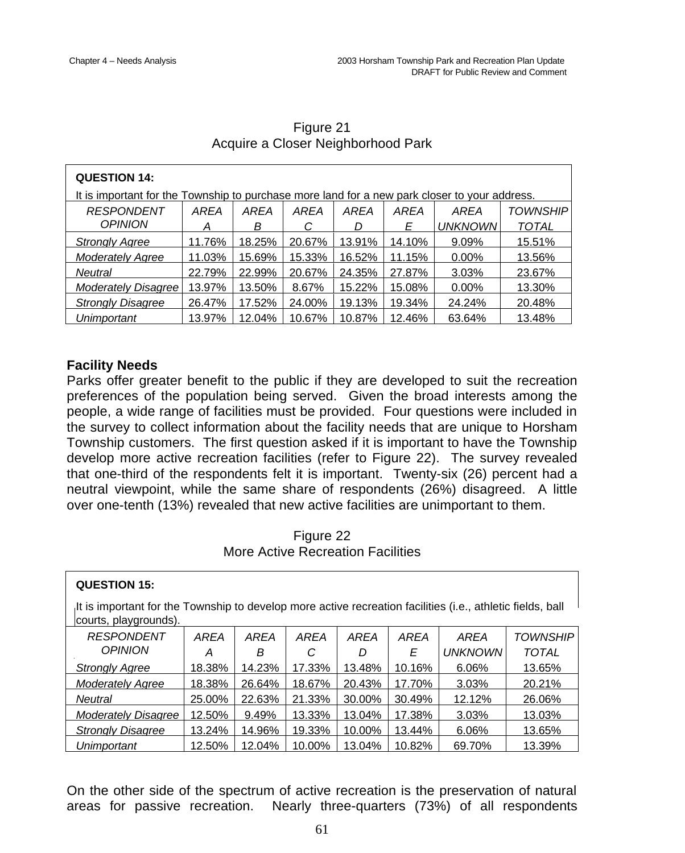$\overline{1}$ 

٦

| <b>QUESTION 14:</b>                                                                           |        |        |        |        |        |                |              |  |  |
|-----------------------------------------------------------------------------------------------|--------|--------|--------|--------|--------|----------------|--------------|--|--|
| It is important for the Township to purchase more land for a new park closer to your address. |        |        |        |        |        |                |              |  |  |
| <b>RESPONDENT</b>                                                                             | AREA   | AREA   | AREA   | AREA   | AREA   | AREA           | TOWNSHIP     |  |  |
| <b>OPINION</b>                                                                                | A      | В      | C      | D      | Е      | <b>UNKNOWN</b> | <b>TOTAL</b> |  |  |
| <b>Strongly Agree</b>                                                                         | 11.76% | 18.25% | 20.67% | 13.91% | 14.10% | 9.09%          | 15.51%       |  |  |
| <b>Moderately Agree</b>                                                                       | 11.03% | 15.69% | 15.33% | 16.52% | 11.15% | $0.00\%$       | 13.56%       |  |  |
| Neutral                                                                                       | 22.79% | 22.99% | 20.67% | 24.35% | 27.87% | 3.03%          | 23.67%       |  |  |
| Moderately Disagree                                                                           | 13.97% | 13.50% | 8.67%  | 15.22% | 15.08% | $0.00\%$       | 13.30%       |  |  |
| <b>Strongly Disagree</b>                                                                      | 26.47% | 17.52% | 24.00% | 19.13% | 19.34% | 24.24%         | 20.48%       |  |  |
| Unimportant                                                                                   | 13.97% | 12.04% | 10.67% | 10.87% | 12.46% | 63.64%         | 13.48%       |  |  |

# Figure 21 Acquire a Closer Neighborhood Park

# **Facility Needs**

Parks offer greater benefit to the public if they are developed to suit the recreation preferences of the population being served. Given the broad interests among the people, a wide range of facilities must be provided. Four questions were included in the survey to collect information about the facility needs that are unique to Horsham Township customers. The first question asked if it is important to have the Township develop more active recreation facilities (refer to Figure 22). The survey revealed that one-third of the respondents felt it is important. Twenty-six (26) percent had a neutral viewpoint, while the same share of respondents (26%) disagreed. A little over one-tenth (13%) revealed that new active facilities are unimportant to them.

## Figure 22 More Active Recreation Facilities

| <b>QUESTION 15:</b>                                                                                                                 |        |        |        |        |        |                |                 |
|-------------------------------------------------------------------------------------------------------------------------------------|--------|--------|--------|--------|--------|----------------|-----------------|
| It is important for the Township to develop more active recreation facilities (i.e., athletic fields, ball<br>courts, playgrounds). |        |        |        |        |        |                |                 |
| <b>RESPONDENT</b>                                                                                                                   | AREA   | AREA   | AREA   | AREA   | AREA   | AREA           | <i>TOWNSHIP</i> |
| <b>OPINION</b>                                                                                                                      | A      | В      | С      | D      | Ε      | <b>UNKNOWN</b> | <b>TOTAL</b>    |
| <b>Strongly Agree</b>                                                                                                               | 18.38% | 14.23% | 17.33% | 13.48% | 10.16% | 6.06%          | 13.65%          |
| <b>Moderately Agree</b>                                                                                                             | 18.38% | 26.64% | 18.67% | 20.43% | 17.70% | 3.03%          | 20.21%          |
| Neutral                                                                                                                             | 25.00% | 22.63% | 21.33% | 30.00% | 30.49% | 12.12%         | 26.06%          |
| <b>Moderately Disagree</b>                                                                                                          | 12.50% | 9.49%  | 13.33% | 13.04% | 17.38% | 3.03%          | 13.03%          |
| <b>Strongly Disagree</b>                                                                                                            | 13.24% | 14.96% | 19.33% | 10.00% | 13.44% | 6.06%          | 13.65%          |
| Unimportant                                                                                                                         | 12.50% | 12.04% | 10.00% | 13.04% | 10.82% | 69.70%         | 13.39%          |

On the other side of the spectrum of active recreation is the preservation of natural areas for passive recreation. Nearly three-quarters (73%) of all respondents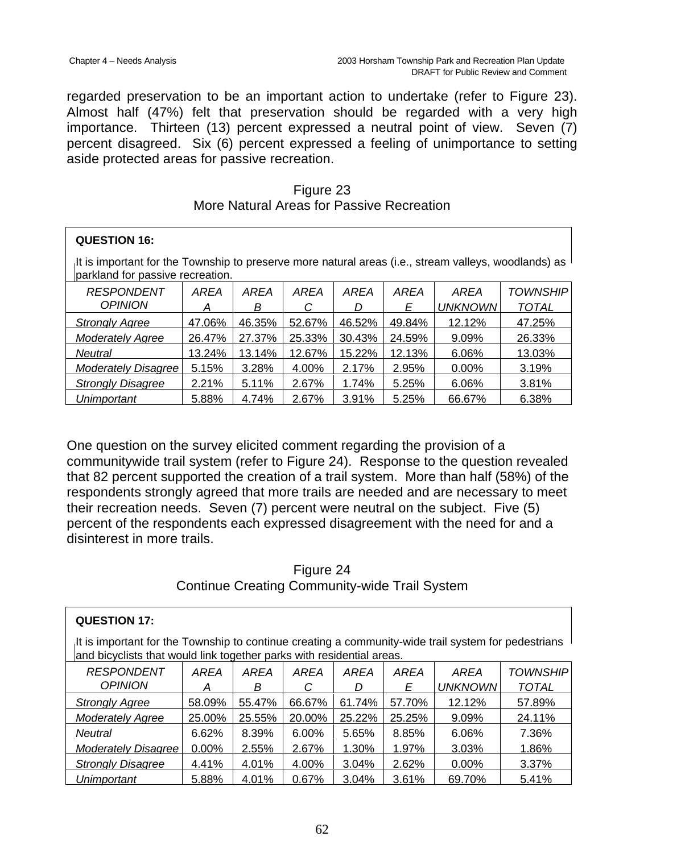regarded preservation to be an important action to undertake (refer to Figure 23). Almost half (47%) felt that preservation should be regarded with a very high importance. Thirteen (13) percent expressed a neutral point of view. Seven (7) percent disagreed. Six (6) percent expressed a feeling of unimportance to setting aside protected areas for passive recreation.

| Figure 23                                 |
|-------------------------------------------|
| More Natural Areas for Passive Recreation |

| <b>QUESTION 16:</b>                                                                                                                      |        |        |        |        |             |                |                 |  |  |
|------------------------------------------------------------------------------------------------------------------------------------------|--------|--------|--------|--------|-------------|----------------|-----------------|--|--|
| It is important for the Township to preserve more natural areas (i.e., stream valleys, woodlands) as<br>parkland for passive recreation. |        |        |        |        |             |                |                 |  |  |
| <b>RESPONDENT</b>                                                                                                                        | AREA   | AREA   | AREA   | AREA   | <b>AREA</b> | AREA           | <b>TOWNSHIP</b> |  |  |
| <b>OPINION</b>                                                                                                                           | A      | В      | C      | D      | Е           | <b>UNKNOWN</b> | <b>TOTAL</b>    |  |  |
| <b>Strongly Agree</b>                                                                                                                    | 47.06% | 46.35% | 52.67% | 46.52% | 49.84%      | 12.12%         | 47.25%          |  |  |
| <b>Moderately Agree</b>                                                                                                                  | 26.47% | 27.37% | 25.33% | 30.43% | 24.59%      | 9.09%          | 26.33%          |  |  |
| Neutral                                                                                                                                  | 13.24% | 13.14% | 12.67% | 15.22% | 12.13%      | 6.06%          | 13.03%          |  |  |
| <b>Moderately Disagree</b>                                                                                                               | 5.15%  | 3.28%  | 4.00%  | 2.17%  | 2.95%       | $0.00\%$       | 3.19%           |  |  |
| <b>Strongly Disagree</b>                                                                                                                 | 2.21%  | 5.11%  | 2.67%  | 1.74%  | 5.25%       | 6.06%          | 3.81%           |  |  |
| Unimportant                                                                                                                              | 5.88%  | 4.74%  | 2.67%  | 3.91%  | 5.25%       | 66.67%         | 6.38%           |  |  |

One question on the survey elicited comment regarding the provision of a communitywide trail system (refer to Figure 24). Response to the question revealed that 82 percent supported the creation of a trail system. More than half (58%) of the respondents strongly agreed that more trails are needed and are necessary to meet their recreation needs. Seven (7) percent were neutral on the subject. Five (5) percent of the respondents each expressed disagreement with the need for and a disinterest in more trails.

# Figure 24 Continue Creating Community-wide Trail System

| <b>QUESTION 17:</b>                                                                                                                                                          |          |        |        |          |             |                |                 |  |  |
|------------------------------------------------------------------------------------------------------------------------------------------------------------------------------|----------|--------|--------|----------|-------------|----------------|-----------------|--|--|
| It is important for the Township to continue creating a community-wide trail system for pedestrians<br>and bicyclists that would link together parks with residential areas. |          |        |        |          |             |                |                 |  |  |
| <b>RESPONDENT</b>                                                                                                                                                            | AREA     | AREA   | AREA   | AREA     | <b>AREA</b> | AREA           | <b>TOWNSHIP</b> |  |  |
| <b>OPINION</b>                                                                                                                                                               | А        | В      |        |          | Е           | <b>UNKNOWN</b> | TOTAL           |  |  |
| <b>Strongly Agree</b>                                                                                                                                                        | 58.09%   | 55.47% | 66.67% | 61.74%   | 57.70%      | 12.12%         | 57.89%          |  |  |
| <b>Moderately Agree</b>                                                                                                                                                      | 25.00%   | 25.55% | 20.00% | 25.22%   | 25.25%      | $9.09\%$       | 24.11%          |  |  |
| <b>Neutral</b>                                                                                                                                                               | 6.62%    | 8.39%  | 6.00%  | 5.65%    | 8.85%       | 6.06%          | 7.36%           |  |  |
| <b>Moderately Disagree</b>                                                                                                                                                   | $0.00\%$ | 2.55%  | 2.67%  | $1.30\%$ | 1.97%       | 3.03%          | 1.86%           |  |  |
| <b>Strongly Disagree</b>                                                                                                                                                     | 4.41%    | 4.01%  | 4.00%  | 3.04%    | 2.62%       | $0.00\%$       | 3.37%           |  |  |
| Unimportant                                                                                                                                                                  | 5.88%    | 4.01%  | 0.67%  | 3.04%    | 3.61%       | 69.70%         | 5.41%           |  |  |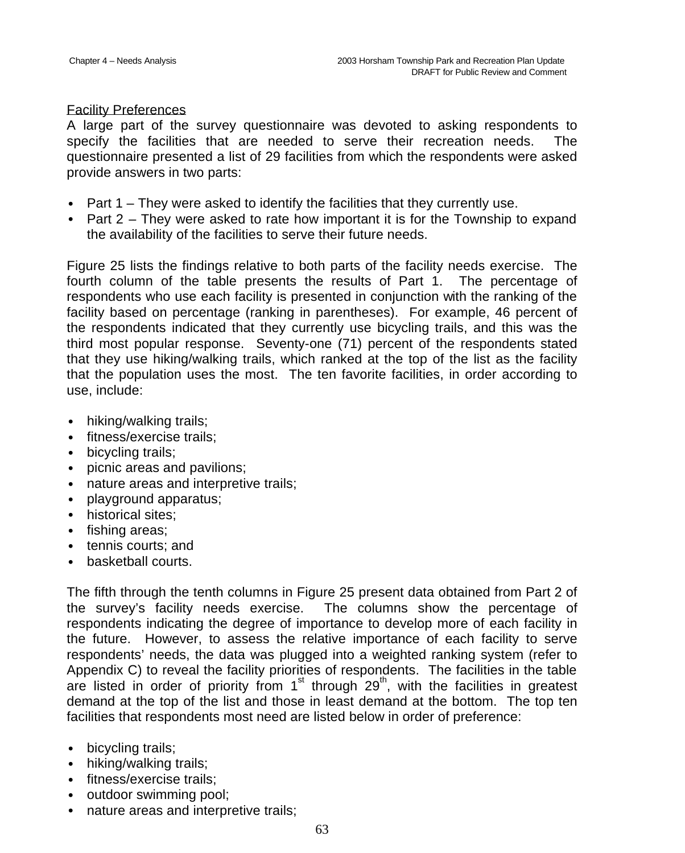#### Facility Preferences

A large part of the survey questionnaire was devoted to asking respondents to specify the facilities that are needed to serve their recreation needs. The questionnaire presented a list of 29 facilities from which the respondents were asked provide answers in two parts:

- Part  $1$  They were asked to identify the facilities that they currently use.
- Part 2 They were asked to rate how important it is for the Township to expand the availability of the facilities to serve their future needs.

Figure 25 lists the findings relative to both parts of the facility needs exercise. The fourth column of the table presents the results of Part 1. The percentage of respondents who use each facility is presented in conjunction with the ranking of the facility based on percentage (ranking in parentheses). For example, 46 percent of the respondents indicated that they currently use bicycling trails, and this was the third most popular response. Seventy-one (71) percent of the respondents stated that they use hiking/walking trails, which ranked at the top of the list as the facility that the population uses the most. The ten favorite facilities, in order according to use, include:

- hiking/walking trails;
- fitness/exercise trails:
- bicycling trails;
- picnic areas and pavilions;
- nature areas and interpretive trails;
- playground apparatus;
- historical sites:
- fishing areas;
- tennis courts: and
- basketball courts.

The fifth through the tenth columns in Figure 25 present data obtained from Part 2 of the survey's facility needs exercise. The columns show the percentage of respondents indicating the degree of importance to develop more of each facility in the future. However, to assess the relative importance of each facility to serve respondents' needs, the data was plugged into a weighted ranking system (refer to Appendix C) to reveal the facility priorities of respondents. The facilities in the table are listed in order of priority from  $1<sup>st</sup>$  through  $29<sup>th</sup>$ , with the facilities in greatest demand at the top of the list and those in least demand at the bottom. The top ten facilities that respondents most need are listed below in order of preference:

- bicycling trails;
- hiking/walking trails:
- fitness/exercise trails:
- outdoor swimming pool;
- nature areas and interpretive trails;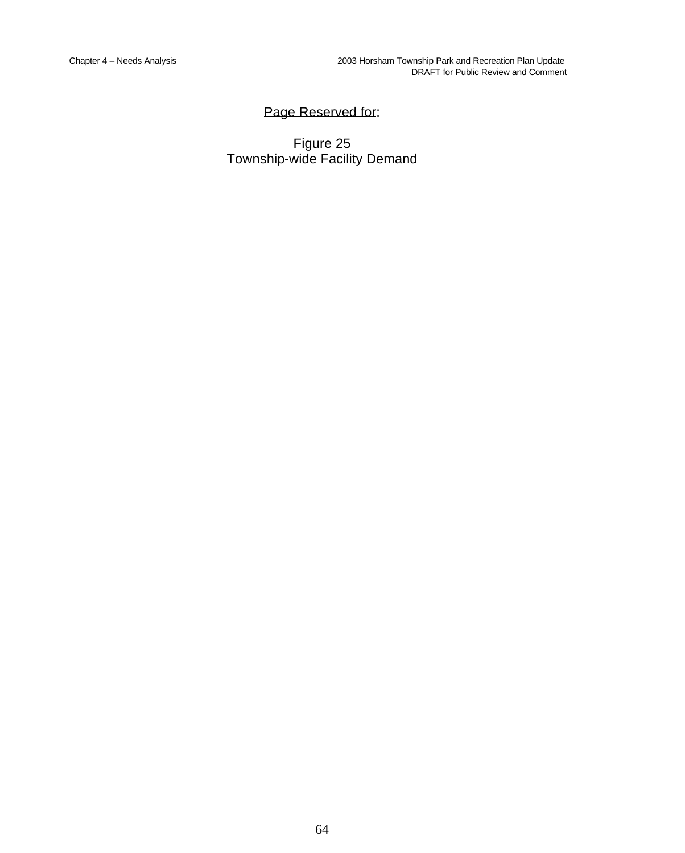# Page Reserved for:

Figure 25 Township-wide Facility Demand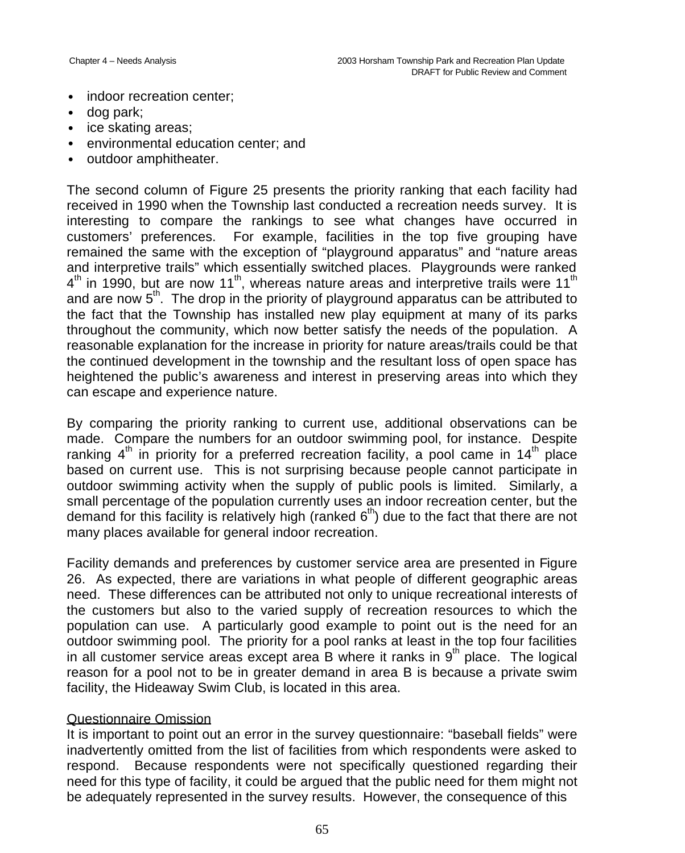- indoor recreation center;
- dog park;
- ice skating areas;
- environmental education center; and
- outdoor amphitheater.

The second column of Figure 25 presents the priority ranking that each facility had received in 1990 when the Township last conducted a recreation needs survey. It is interesting to compare the rankings to see what changes have occurred in customers' preferences. For example, facilities in the top five grouping have remained the same with the exception of "playground apparatus" and "nature areas and interpretive trails" which essentially switched places. Playgrounds were ranked  $4<sup>th</sup>$  in 1990, but are now 11<sup>th</sup>, whereas nature areas and interpretive trails were 11<sup>th</sup> and are now  $5<sup>th</sup>$ . The drop in the priority of playground apparatus can be attributed to the fact that the Township has installed new play equipment at many of its parks throughout the community, which now better satisfy the needs of the population. A reasonable explanation for the increase in priority for nature areas/trails could be that the continued development in the township and the resultant loss of open space has heightened the public's awareness and interest in preserving areas into which they can escape and experience nature.

By comparing the priority ranking to current use, additional observations can be made. Compare the numbers for an outdoor swimming pool, for instance. Despite ranking  $4^{\text{th}}$  in priority for a preferred recreation facility, a pool came in 14<sup>th</sup> place based on current use. This is not surprising because people cannot participate in outdoor swimming activity when the supply of public pools is limited. Similarly, a small percentage of the population currently uses an indoor recreation center, but the demand for this facility is relatively high (ranked  $6<sup>th</sup>$ ) due to the fact that there are not many places available for general indoor recreation.

Facility demands and preferences by customer service area are presented in Figure 26. As expected, there are variations in what people of different geographic areas need. These differences can be attributed not only to unique recreational interests of the customers but also to the varied supply of recreation resources to which the population can use. A particularly good example to point out is the need for an outdoor swimming pool. The priority for a pool ranks at least in the top four facilities in all customer service areas except area  $B$  where it ranks in  $9<sup>th</sup>$  place. The logical reason for a pool not to be in greater demand in area B is because a private swim facility, the Hideaway Swim Club, is located in this area.

## Questionnaire Omission

It is important to point out an error in the survey questionnaire: "baseball fields" were inadvertently omitted from the list of facilities from which respondents were asked to respond. Because respondents were not specifically questioned regarding their need for this type of facility, it could be argued that the public need for them might not be adequately represented in the survey results. However, the consequence of this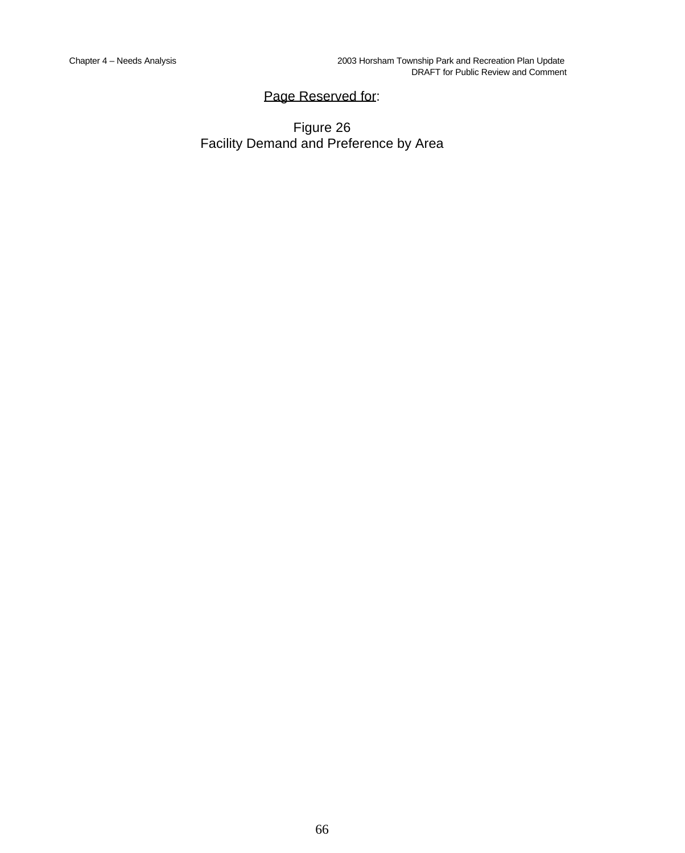# Page Reserved for:

Figure 26 Facility Demand and Preference by Area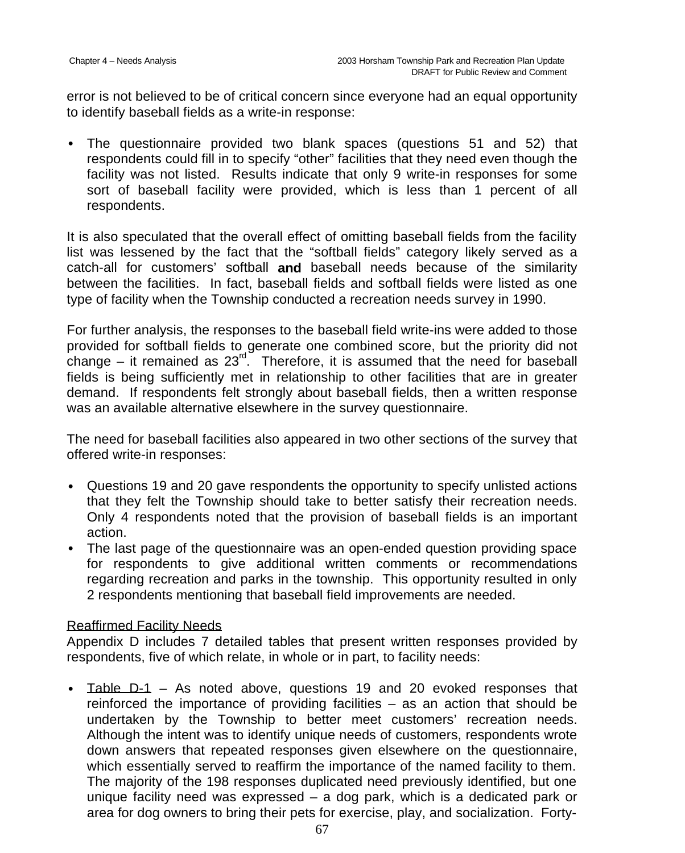error is not believed to be of critical concern since everyone had an equal opportunity to identify baseball fields as a write-in response:

• The questionnaire provided two blank spaces (questions 51 and 52) that respondents could fill in to specify "other" facilities that they need even though the facility was not listed. Results indicate that only 9 write-in responses for some sort of baseball facility were provided, which is less than 1 percent of all respondents.

It is also speculated that the overall effect of omitting baseball fields from the facility list was lessened by the fact that the "softball fields" category likely served as a catch-all for customers' softball **and** baseball needs because of the similarity between the facilities. In fact, baseball fields and softball fields were listed as one type of facility when the Township conducted a recreation needs survey in 1990.

For further analysis, the responses to the baseball field write-ins were added to those provided for softball fields to generate one combined score, but the priority did not change – it remained as  $23^{\text{rd}}$ . Therefore, it is assumed that the need for baseball fields is being sufficiently met in relationship to other facilities that are in greater demand. If respondents felt strongly about baseball fields, then a written response was an available alternative elsewhere in the survey questionnaire.

The need for baseball facilities also appeared in two other sections of the survey that offered write-in responses:

- Questions 19 and 20 gave respondents the opportunity to specify unlisted actions that they felt the Township should take to better satisfy their recreation needs. Only 4 respondents noted that the provision of baseball fields is an important action.
- The last page of the questionnaire was an open-ended question providing space for respondents to give additional written comments or recommendations regarding recreation and parks in the township. This opportunity resulted in only 2 respondents mentioning that baseball field improvements are needed.

## Reaffirmed Facility Needs

Appendix D includes 7 detailed tables that present written responses provided by respondents, five of which relate, in whole or in part, to facility needs:

• Table D-1 – As noted above, questions 19 and 20 evoked responses that reinforced the importance of providing facilities – as an action that should be undertaken by the Township to better meet customers' recreation needs. Although the intent was to identify unique needs of customers, respondents wrote down answers that repeated responses given elsewhere on the questionnaire, which essentially served to reaffirm the importance of the named facility to them. The majority of the 198 responses duplicated need previously identified, but one unique facility need was expressed – a dog park, which is a dedicated park or area for dog owners to bring their pets for exercise, play, and socialization. Forty-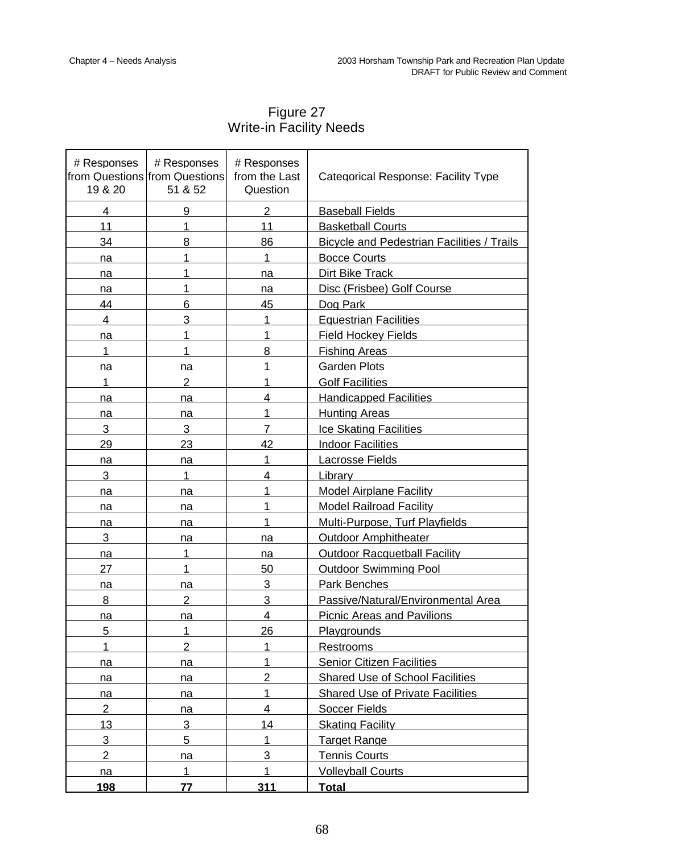| # Responses<br>19 & 20 | # Responses<br>from Questions from Questions<br>51 & 52 | # Responses<br>from the Last<br>Question | Categorical Response: Facility Type               |
|------------------------|---------------------------------------------------------|------------------------------------------|---------------------------------------------------|
| 4                      | 9                                                       | $\overline{2}$                           | <b>Baseball Fields</b>                            |
| 11                     | 1                                                       | 11                                       | <b>Basketball Courts</b>                          |
| 34                     | 8                                                       | 86                                       | <b>Bicycle and Pedestrian Facilities / Trails</b> |
| na                     | 1                                                       | 1                                        | <b>Bocce Courts</b>                               |
| na                     | 1                                                       | na                                       | Dirt Bike Track                                   |
| na                     | 1                                                       | na                                       | Disc (Frisbee) Golf Course                        |
| 44                     | 6                                                       | 45                                       | Dog Park                                          |
| 4                      | 3                                                       | 1                                        | <b>Equestrian Facilities</b>                      |
| na                     | 1                                                       | 1                                        | <b>Field Hockey Fields</b>                        |
| 1                      | 1                                                       | 8                                        | <b>Fishing Areas</b>                              |
| na                     | na                                                      | 1                                        | Garden Plots                                      |
| 1                      | $\overline{2}$                                          | 1                                        | <b>Golf Facilities</b>                            |
| na                     | na                                                      | 4                                        | <b>Handicapped Facilities</b>                     |
| na                     | na                                                      | 1                                        | <b>Hunting Areas</b>                              |
| 3                      | 3                                                       | 7                                        | <b>Ice Skating Facilities</b>                     |
| 29                     | 23                                                      | 42                                       | <b>Indoor Facilities</b>                          |
| na                     | na                                                      | 1                                        | Lacrosse Fields                                   |
| 3                      | 1                                                       | 4                                        | Library                                           |
| na                     | na                                                      | 1                                        | <b>Model Airplane Facility</b>                    |
| na                     | na                                                      | 1                                        | <b>Model Railroad Facility</b>                    |
| na                     | na                                                      | 1                                        | Multi-Purpose, Turf Playfields                    |
| 3                      | na                                                      | na                                       | <b>Outdoor Amphitheater</b>                       |
| na                     | 1                                                       | na                                       | <b>Outdoor Racquetball Facility</b>               |
| 27                     | 1                                                       | 50                                       | <b>Outdoor Swimming Pool</b>                      |
| na                     | na                                                      | 3                                        | <b>Park Benches</b>                               |
| 8                      | 2                                                       | 3                                        | Passive/Natural/Environmental Area                |
| na                     | na                                                      | 4                                        | <b>Picnic Areas and Pavilions</b>                 |
| 5                      | 1                                                       | 26                                       | Playgrounds                                       |
| 1                      | $\overline{2}$                                          | 1.                                       | Restrooms                                         |
| na                     | na                                                      | 1                                        | <b>Senior Citizen Facilities</b>                  |
| <u>na</u>              | na                                                      | $\overline{2}$                           | <b>Shared Use of School Facilities</b>            |
| <u>na</u>              | na                                                      | 1                                        | <b>Shared Use of Private Facilities</b>           |
| $\overline{2}$         | na                                                      | $\overline{4}$                           | <b>Soccer Fields</b>                              |
| 13                     | 3                                                       | 14                                       | <b>Skating Facility</b>                           |
| 3                      | 5                                                       | 1                                        | <b>Target Range</b>                               |
| $\overline{2}$         | na                                                      | 3                                        | <b>Tennis Courts</b>                              |
| na                     | 1                                                       | 1                                        | <b>Volleyball Courts</b>                          |

Figure 27 Write-in Facility Needs

**198 77 311 Total**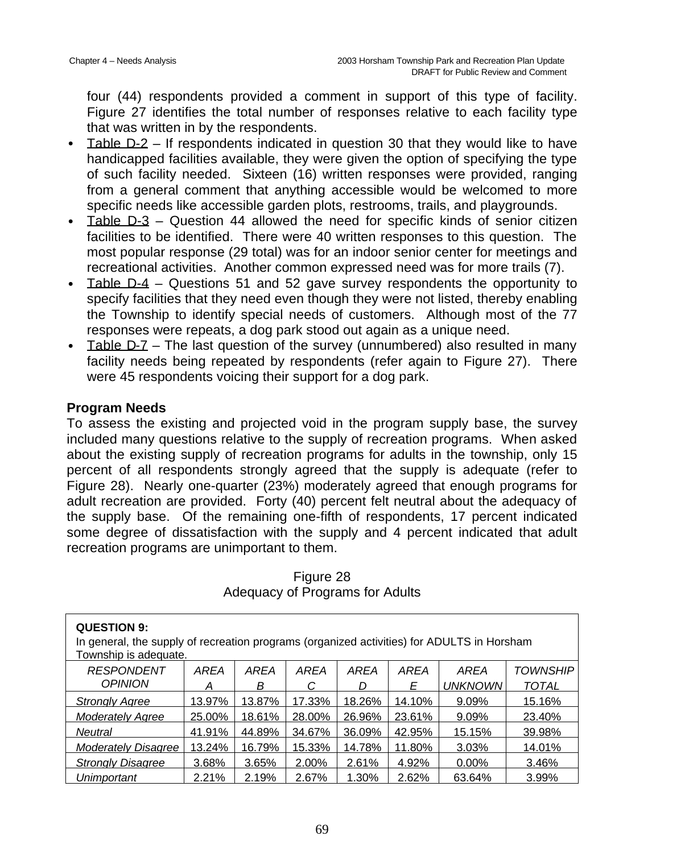four (44) respondents provided a comment in support of this type of facility. Figure 27 identifies the total number of responses relative to each facility type that was written in by the respondents.

- Table D-2 If respondents indicated in question 30 that they would like to have handicapped facilities available, they were given the option of specifying the type of such facility needed. Sixteen (16) written responses were provided, ranging from a general comment that anything accessible would be welcomed to more specific needs like accessible garden plots, restrooms, trails, and playgrounds.
- Table D-3 Question 44 allowed the need for specific kinds of senior citizen facilities to be identified. There were 40 written responses to this question. The most popular response (29 total) was for an indoor senior center for meetings and recreational activities. Another common expressed need was for more trails (7).
- Table D-4 Questions 51 and 52 gave survey respondents the opportunity to specify facilities that they need even though they were not listed, thereby enabling the Township to identify special needs of customers. Although most of the 77 responses were repeats, a dog park stood out again as a unique need.
- Table D-7 The last question of the survey (unnumbered) also resulted in many facility needs being repeated by respondents (refer again to Figure 27). There were 45 respondents voicing their support for a dog park.

# **Program Needs**

To assess the existing and projected void in the program supply base, the survey included many questions relative to the supply of recreation programs. When asked about the existing supply of recreation programs for adults in the township, only 15 percent of all respondents strongly agreed that the supply is adequate (refer to Figure 28). Nearly one-quarter (23%) moderately agreed that enough programs for adult recreation are provided. Forty (40) percent felt neutral about the adequacy of the supply base. Of the remaining one-fifth of respondents, 17 percent indicated some degree of dissatisfaction with the supply and 4 percent indicated that adult recreation programs are unimportant to them.

| <b>QUESTION 9:</b><br>In general, the supply of recreation programs (organized activities) for ADULTS in Horsham<br>Township is adequate. |        |        |        |        |        |                |                 |  |  |
|-------------------------------------------------------------------------------------------------------------------------------------------|--------|--------|--------|--------|--------|----------------|-----------------|--|--|
| <b>RESPONDENT</b>                                                                                                                         | AREA   | AREA   | AREA   | AREA   | AREA   | AREA           | <b>TOWNSHIP</b> |  |  |
| <b>OPINION</b>                                                                                                                            | А      | B      | С      | D      | Е      | <b>UNKNOWN</b> | <b>TOTAL</b>    |  |  |
| <b>Strongly Agree</b>                                                                                                                     | 13.97% | 13.87% | 17.33% | 18.26% | 14.10% | 9.09%          | 15.16%          |  |  |
| <b>Moderately Agree</b>                                                                                                                   | 25.00% | 18.61% | 28.00% | 26.96% | 23.61% | 9.09%          | 23.40%          |  |  |
| Neutral                                                                                                                                   | 41.91% | 44.89% | 34.67% | 36.09% | 42.95% | 15.15%         | 39.98%          |  |  |
| <b>Moderately Disagree</b>                                                                                                                | 13.24% | 16.79% | 15.33% | 14.78% | 11.80% | 3.03%          | 14.01%          |  |  |
| <b>Strongly Disagree</b>                                                                                                                  | 3.68%  | 3.65%  | 2.00%  | 2.61%  | 4.92%  | $0.00\%$       | 3.46%           |  |  |
| Unimportant                                                                                                                               | 2.21%  | 2.19%  | 2.67%  | 1.30%  | 2.62%  | 63.64%         | 3.99%           |  |  |

Figure 28 Adequacy of Programs for Adults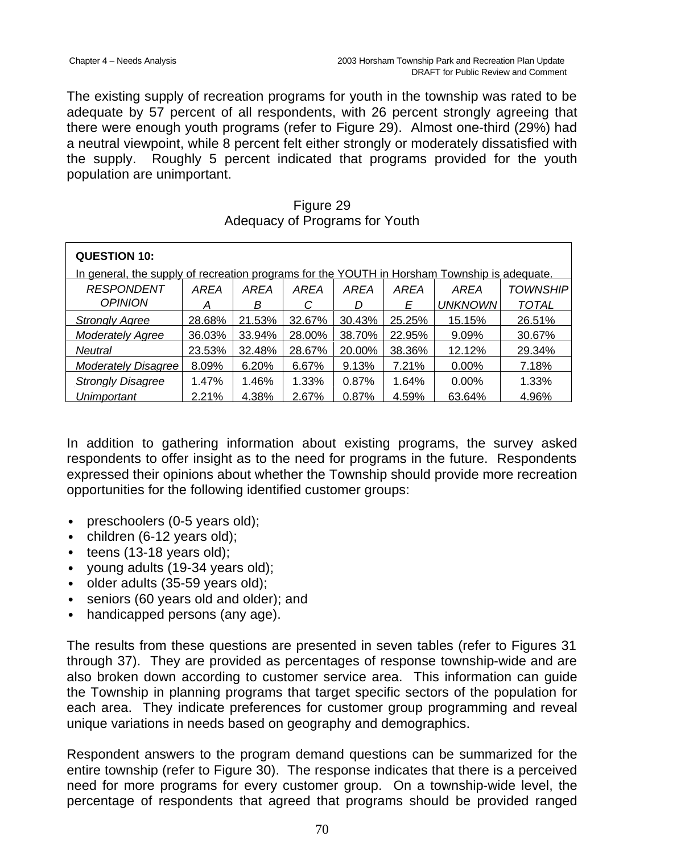The existing supply of recreation programs for youth in the township was rated to be adequate by 57 percent of all respondents, with 26 percent strongly agreeing that there were enough youth programs (refer to Figure 29). Almost one-third (29%) had a neutral viewpoint, while 8 percent felt either strongly or moderately dissatisfied with the supply. Roughly 5 percent indicated that programs provided for the youth population are unimportant.

Figure 29 Adequacy of Programs for Youth

| <b>QUESTION 10:</b>      |                                                                                              |        |        |        |        |                |                 |  |  |
|--------------------------|----------------------------------------------------------------------------------------------|--------|--------|--------|--------|----------------|-----------------|--|--|
|                          | In general, the supply of recreation programs for the YOUTH in Horsham Township is adequate. |        |        |        |        |                |                 |  |  |
| <b>RESPONDENT</b>        | AREA                                                                                         | AREA   | AREA   | AREA   | AREA   | AREA           | <i>TOWNSHIP</i> |  |  |
| <b>OPINION</b>           | А                                                                                            | В      | С      | D      | E      | <b>UNKNOWN</b> | <b>TOTAL</b>    |  |  |
| <b>Strongly Agree</b>    | 28.68%                                                                                       | 21.53% | 32.67% | 30.43% | 25.25% | 15.15%         | 26.51%          |  |  |
| <b>Moderately Agree</b>  | 36.03%                                                                                       | 33.94% | 28.00% | 38.70% | 22.95% | 9.09%          | 30.67%          |  |  |
| <b>Neutral</b>           | 23.53%                                                                                       | 32.48% | 28.67% | 20.00% | 38.36% | 12.12%         | 29.34%          |  |  |
| Moderately Disagree      | 8.09%                                                                                        | 6.20%  | 6.67%  | 9.13%  | 7.21%  | $0.00\%$       | 7.18%           |  |  |
| <b>Strongly Disagree</b> | 1.47%                                                                                        | 1.46%  | 1.33%  | 0.87%  | 1.64%  | $0.00\%$       | 1.33%           |  |  |
| Unimportant              | 2.21%                                                                                        | 4.38%  | 2.67%  | 0.87%  | 4.59%  | 63.64%         | 4.96%           |  |  |

In addition to gathering information about existing programs, the survey asked respondents to offer insight as to the need for programs in the future. Respondents expressed their opinions about whether the Township should provide more recreation opportunities for the following identified customer groups:

- preschoolers (0-5 years old);
- children (6-12 years old);
- $\bullet$  teens (13-18 years old);
- young adults (19-34 years old);
- older adults (35-59 years old);
- seniors (60 years old and older); and
- handicapped persons (any age).

The results from these questions are presented in seven tables (refer to Figures 31 through 37). They are provided as percentages of response township-wide and are also broken down according to customer service area. This information can guide the Township in planning programs that target specific sectors of the population for each area. They indicate preferences for customer group programming and reveal unique variations in needs based on geography and demographics.

Respondent answers to the program demand questions can be summarized for the entire township (refer to Figure 30). The response indicates that there is a perceived need for more programs for every customer group. On a township-wide level, the percentage of respondents that agreed that programs should be provided ranged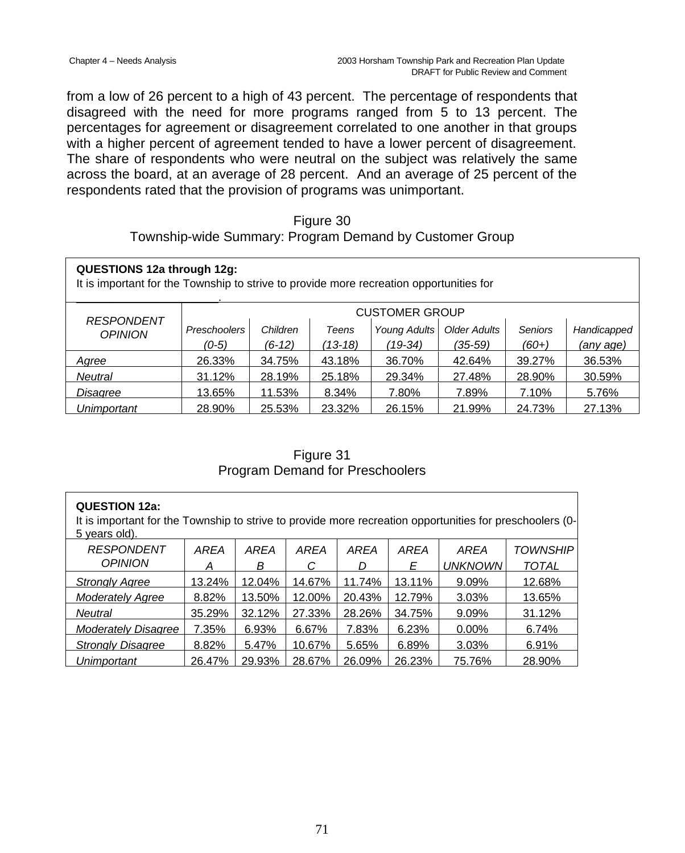from a low of 26 percent to a high of 43 percent. The percentage of respondents that disagreed with the need for more programs ranged from 5 to 13 percent. The percentages for agreement or disagreement correlated to one another in that groups with a higher percent of agreement tended to have a lower percent of disagreement. The share of respondents who were neutral on the subject was relatively the same across the board, at an average of 28 percent. And an average of 25 percent of the respondents rated that the provision of programs was unimportant.

#### Figure 30

Township-wide Summary: Program Demand by Customer Group

| <b>QUESTIONS 12a through 12g:</b><br>It is important for the Township to strive to provide more recreation opportunities for |              |                                                          |           |         |             |         |           |  |  |  |
|------------------------------------------------------------------------------------------------------------------------------|--------------|----------------------------------------------------------|-----------|---------|-------------|---------|-----------|--|--|--|
| <b>RESPONDENT</b>                                                                                                            |              | <b>CUSTOMER GROUP</b>                                    |           |         |             |         |           |  |  |  |
| <b>OPINION</b>                                                                                                               | Preschoolers | Young Adults<br><b>Older Adults</b><br>Children<br>Teens |           | Seniors | Handicapped |         |           |  |  |  |
|                                                                                                                              | $(0-5)$      | $(6-12)$                                                 | $(13-18)$ | (19-34) | (35-59)     | $(60+)$ | (any age) |  |  |  |
| Agree                                                                                                                        | 26.33%       | 34.75%                                                   | 43.18%    | 36.70%  | 42.64%      | 39.27%  | 36.53%    |  |  |  |
| Neutral                                                                                                                      | 31.12%       | 28.19%                                                   | 25.18%    | 29.34%  | 27.48%      | 28.90%  | 30.59%    |  |  |  |
| Disagree                                                                                                                     | 13.65%       | 11.53%                                                   | 8.34%     | 7.80%   | 7.89%       | 7.10%   | 5.76%     |  |  |  |
| Unimportant                                                                                                                  | 28.90%       | 25.53%                                                   | 23.32%    | 26.15%  | 21.99%      | 24.73%  | 27.13%    |  |  |  |

Figure 31 Program Demand for Preschoolers

| <b>QUESTION 12a:</b><br>It is important for the Township to strive to provide more recreation opportunities for preschoolers (0-<br>5 years old). |        |        |        |             |             |                |                 |  |  |
|---------------------------------------------------------------------------------------------------------------------------------------------------|--------|--------|--------|-------------|-------------|----------------|-----------------|--|--|
| <b>RESPONDENT</b>                                                                                                                                 | AREA   | AREA   | AREA   | <b>AREA</b> | <b>AREA</b> | AREA           | <b>TOWNSHIP</b> |  |  |
| <b>OPINION</b>                                                                                                                                    | А      | В      | С      | D           | E           | <b>UNKNOWN</b> | <b>TOTAL</b>    |  |  |
| <b>Strongly Agree</b>                                                                                                                             | 13.24% | 12.04% | 14.67% | 11.74%      | 13.11%      | 9.09%          | 12.68%          |  |  |
| <b>Moderately Agree</b>                                                                                                                           | 8.82%  | 13.50% | 12.00% | 20.43%      | 12.79%      | 3.03%          | 13.65%          |  |  |
| Neutral                                                                                                                                           | 35.29% | 32.12% | 27.33% | 28.26%      | 34.75%      | $9.09\%$       | 31.12%          |  |  |
| <b>Moderately Disagree</b>                                                                                                                        | 7.35%  | 6.93%  | 6.67%  | 7.83%       | 6.23%       | $0.00\%$       | 6.74%           |  |  |
| <b>Strongly Disagree</b>                                                                                                                          | 8.82%  | 5.47%  | 10.67% | 5.65%       | 6.89%       | 3.03%          | 6.91%           |  |  |
| Unimportant                                                                                                                                       | 26.47% | 29.93% | 28.67% | 26.09%      | 26.23%      | 75.76%         | 28.90%          |  |  |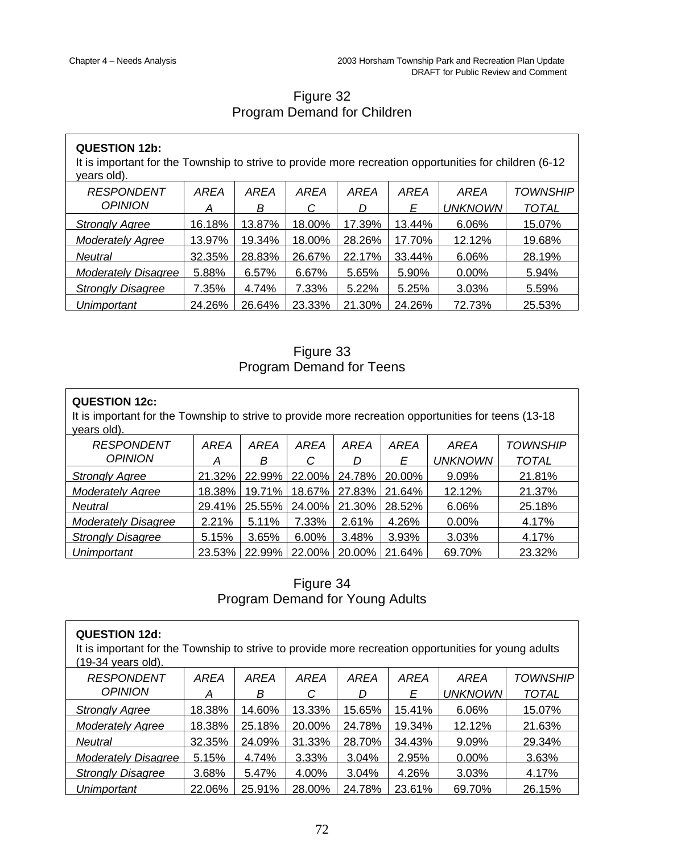L,

# Figure 32 Program Demand for Children

| <b>QUESTION 12b:</b><br>It is important for the Township to strive to provide more recreation opportunities for children (6-12<br>years old). |        |             |        |        |             |                |                 |  |
|-----------------------------------------------------------------------------------------------------------------------------------------------|--------|-------------|--------|--------|-------------|----------------|-----------------|--|
| <b>RESPONDENT</b>                                                                                                                             | AREA   | <b>AREA</b> | AREA   | AREA   | <b>AREA</b> | AREA           | <i>TOWNSHIP</i> |  |
| <b>OPINION</b>                                                                                                                                | A      | В           | С      | D      | Ε           | <b>UNKNOWN</b> | <b>TOTAL</b>    |  |
| <b>Strongly Agree</b>                                                                                                                         | 16.18% | 13.87%      | 18.00% | 17.39% | 13.44%      | 6.06%          | 15.07%          |  |
| <b>Moderately Agree</b>                                                                                                                       | 13.97% | 19.34%      | 18.00% | 28.26% | 17.70%      | 12.12%         | 19.68%          |  |
| <b>Neutral</b>                                                                                                                                | 32.35% | 28.83%      | 26.67% | 22.17% | 33.44%      | 6.06%          | 28.19%          |  |
| <b>Moderately Disagree</b>                                                                                                                    | 5.88%  | 6.57%       | 6.67%  | 5.65%  | 5.90%       | $0.00\%$       | 5.94%           |  |
| <b>Strongly Disagree</b>                                                                                                                      | 7.35%  | 4.74%       | 7.33%  | 5.22%  | 5.25%       | 3.03%          | 5.59%           |  |
| Unimportant                                                                                                                                   | 24.26% | 26.64%      | 23.33% | 21.30% | 24.26%      | 72.73%         | 25.53%          |  |

Figure 33 Program Demand for Teens

| <b>QUESTION 12c:</b><br>It is important for the Township to strive to provide more recreation opportunities for teens (13-18)<br>years old). |        |        |        |        |        |                |          |  |  |
|----------------------------------------------------------------------------------------------------------------------------------------------|--------|--------|--------|--------|--------|----------------|----------|--|--|
| <b>RESPONDENT</b>                                                                                                                            | AREA   | AREA   | AREA   | AREA   | AREA   | AREA           | TOWNSHIP |  |  |
| <b>OPINION</b>                                                                                                                               | А      | В      | С      | D      | E      | <b>UNKNOWN</b> | TOTAL    |  |  |
| <b>Strongly Agree</b>                                                                                                                        | 21.32% | 22.99% | 22.00% | 24.78% | 20.00% | 9.09%          | 21.81%   |  |  |
| <b>Moderately Agree</b>                                                                                                                      | 18.38% | 19.71% | 18.67% | 27.83% | 21.64% | 12.12%         | 21.37%   |  |  |
| Neutral                                                                                                                                      | 29.41% | 25.55% | 24.00% | 21.30% | 28.52% | 6.06%          | 25.18%   |  |  |
| <b>Moderately Disagree</b>                                                                                                                   | 2.21%  | 5.11%  | 7.33%  | 2.61%  | 4.26%  | 0.00%          | 4.17%    |  |  |
| <b>Strongly Disagree</b>                                                                                                                     | 5.15%  | 3.65%  | 6.00%  | 3.48%  | 3.93%  | 3.03%          | 4.17%    |  |  |
| Unimportant                                                                                                                                  | 23.53% | 22.99% | 22.00% | 20.00% | 21.64% | 69.70%         | 23.32%   |  |  |

Figure 34 Program Demand for Young Adults

| <b>QUESTION 12d:</b><br>It is important for the Township to strive to provide more recreation opportunities for young adults<br>(19-34 years old). |        |        |        |        |             |                |                 |  |  |
|----------------------------------------------------------------------------------------------------------------------------------------------------|--------|--------|--------|--------|-------------|----------------|-----------------|--|--|
| <b>RESPONDENT</b>                                                                                                                                  | AREA   | AREA   | AREA   | AREA   | <b>AREA</b> | AREA           | <b>TOWNSHIP</b> |  |  |
| <b>OPINION</b>                                                                                                                                     | А      | В      | C      | D      | Ε           | <b>UNKNOWN</b> | <b>TOTAL</b>    |  |  |
| <b>Strongly Agree</b>                                                                                                                              | 18.38% | 14.60% | 13.33% | 15.65% | 15.41%      | 6.06%          | 15.07%          |  |  |
| <b>Moderately Agree</b>                                                                                                                            | 18.38% | 25.18% | 20.00% | 24.78% | 19.34%      | 12.12%         | 21.63%          |  |  |
| Neutral                                                                                                                                            | 32.35% | 24.09% | 31.33% | 28.70% | 34.43%      | 9.09%          | 29.34%          |  |  |
| <b>Moderately Disagree</b>                                                                                                                         | 5.15%  | 4.74%  | 3.33%  | 3.04%  | 2.95%       | $0.00\%$       | 3.63%           |  |  |
| <b>Strongly Disagree</b>                                                                                                                           | 3.68%  | 5.47%  | 4.00%  | 3.04%  | 4.26%       | 3.03%          | 4.17%           |  |  |
| <b>Unimportant</b>                                                                                                                                 | 22.06% | 25.91% | 28.00% | 24.78% | 23.61%      | 69.70%         | 26.15%          |  |  |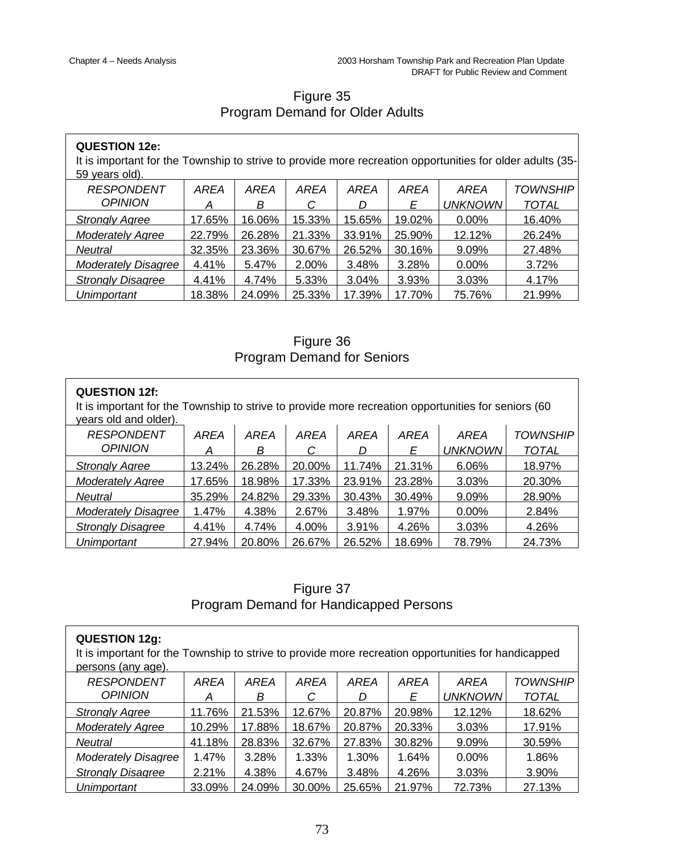# Figure 35 Program Demand for Older Adults

| <b>QUESTION 12e:</b><br>It is important for the Township to strive to provide more recreation opportunities for older adults (35-<br>59 years old). |        |        |        |        |             |                |                 |
|-----------------------------------------------------------------------------------------------------------------------------------------------------|--------|--------|--------|--------|-------------|----------------|-----------------|
| <b>RESPONDENT</b>                                                                                                                                   | AREA   | AREA   | AREA   | AREA   | <b>AREA</b> | AREA           | <b>TOWNSHIP</b> |
| <b>OPINION</b>                                                                                                                                      | А      | В      | С      | D      | Ε           | <b>UNKNOWN</b> | <b>TOTAL</b>    |
| <b>Strongly Agree</b>                                                                                                                               | 17.65% | 16.06% | 15.33% | 15.65% | 19.02%      | $0.00\%$       | 16.40%          |
| <b>Moderately Agree</b>                                                                                                                             | 22.79% | 26.28% | 21.33% | 33.91% | 25.90%      | 12.12%         | 26.24%          |
| Neutral                                                                                                                                             | 32.35% | 23.36% | 30.67% | 26.52% | 30.16%      | 9.09%          | 27.48%          |
| <b>Moderately Disagree</b>                                                                                                                          | 4.41%  | 5.47%  | 2.00%  | 3.48%  | 3.28%       | $0.00\%$       | 3.72%           |
| <b>Strongly Disagree</b>                                                                                                                            | 4.41%  | 4.74%  | 5.33%  | 3.04%  | 3.93%       | 3.03%          | 4.17%           |
| Unimportant                                                                                                                                         | 18.38% | 24.09% | 25.33% | 17.39% | 17.70%      | 75.76%         | 21.99%          |

Figure 36 Program Demand for Seniors

| <b>QUESTION 12f:</b><br>It is important for the Township to strive to provide more recreation opportunities for seniors (60<br>years old and older). |                                                             |        |        |        |        |                |              |  |  |
|------------------------------------------------------------------------------------------------------------------------------------------------------|-------------------------------------------------------------|--------|--------|--------|--------|----------------|--------------|--|--|
| <b>RESPONDENT</b><br><b>AREA</b><br>AREA<br>AREA<br>AREA<br>AREA<br>AREA<br><b>TOWNSHIP</b>                                                          |                                                             |        |        |        |        |                |              |  |  |
| <b>OPINION</b>                                                                                                                                       | А                                                           | В      | С      | D      | Е      | <b>UNKNOWN</b> | <b>TOTAL</b> |  |  |
| <b>Strongly Agree</b>                                                                                                                                | 13.24%                                                      | 26.28% | 20.00% | 11.74% | 21.31% | 6.06%          | 18.97%       |  |  |
| <b>Moderately Agree</b>                                                                                                                              | 23.28%<br>18.98%<br>17.33%<br>23.91%<br>17.65%<br>3.03%     |        |        |        |        |                | 20.30%       |  |  |
| Neutral                                                                                                                                              | 24.82%<br>35.29%<br>29.33%<br>30.43%<br>30.49%<br>9.09%     |        |        |        |        |                | 28.90%       |  |  |
| <b>Moderately Disagree</b>                                                                                                                           | 1.47%                                                       | 4.38%  | 2.67%  | 3.48%  | 1.97%  | $0.00\%$       | 2.84%        |  |  |
| <b>Strongly Disagree</b>                                                                                                                             | 4.41%<br>4.74%<br>4.00%<br>3.91%<br>4.26%<br>3.03%<br>4.26% |        |        |        |        |                |              |  |  |
| Unimportant                                                                                                                                          | 27.94%                                                      | 20.80% | 26.67% | 26.52% | 18.69% | 78.79%         | 24.73%       |  |  |

Figure 37 Program Demand for Handicapped Persons

| <b>QUESTION 12g:</b><br>It is important for the Township to strive to provide more recreation opportunities for handicapped<br>persons (any age). |             |             |        |        |        |                |                 |  |
|---------------------------------------------------------------------------------------------------------------------------------------------------|-------------|-------------|--------|--------|--------|----------------|-----------------|--|
| <b>RESPONDENT</b>                                                                                                                                 | <b>AREA</b> | <b>AREA</b> | AREA   | AREA   | AREA   | AREA           | <b>TOWNSHIP</b> |  |
| <b>OPINION</b>                                                                                                                                    | A           | В           | C      | D      | Ε      | <b>UNKNOWN</b> | <b>TOTAL</b>    |  |
| <b>Strongly Agree</b>                                                                                                                             | 11.76%      | 21.53%      | 12.67% | 20.87% | 20.98% | 12.12%         | 18.62%          |  |
| <b>Moderately Agree</b>                                                                                                                           | 10.29%      | 17.88%      | 18.67% | 20.87% | 20.33% | 3.03%          | 17.91%          |  |
| Neutral                                                                                                                                           | 41.18%      | 28.83%      | 32.67% | 27.83% | 30.82% | 9.09%          | 30.59%          |  |
| <b>Moderately Disagree</b>                                                                                                                        | 1.47%       | 3.28%       | 1.33%  | 1.30%  | 1.64%  | $0.00\%$       | 1.86%           |  |
| <b>Strongly Disagree</b>                                                                                                                          | 2.21%       | 4.38%       | 4.67%  | 3.48%  | 4.26%  | 3.03%          | 3.90%           |  |
| Unimportant                                                                                                                                       | 33.09%      | 24.09%      | 30.00% | 25.65% | 21.97% | 72.73%         | 27.13%          |  |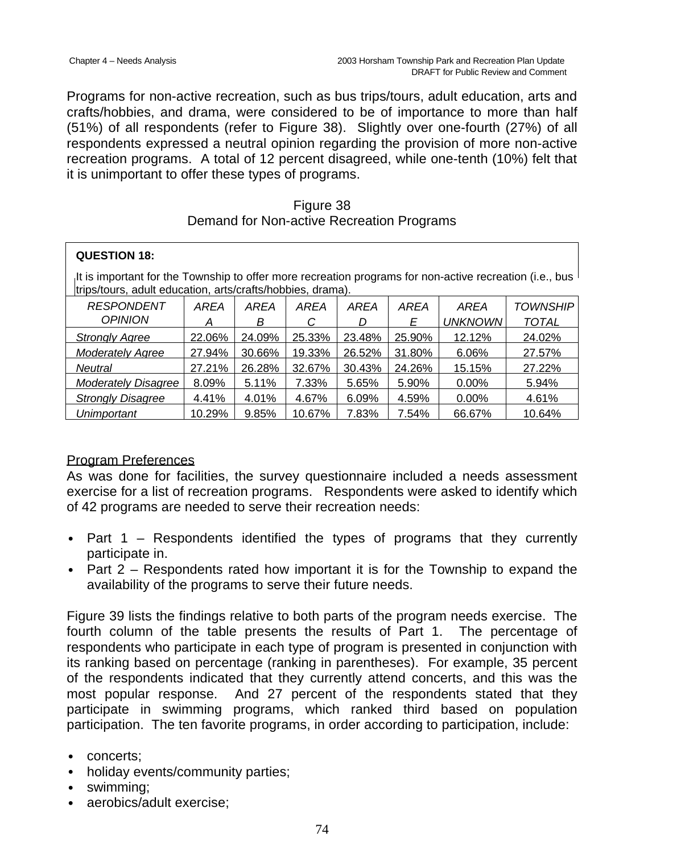Programs for non-active recreation, such as bus trips/tours, adult education, arts and crafts/hobbies, and drama, were considered to be of importance to more than half (51%) of all respondents (refer to Figure 38). Slightly over one-fourth (27%) of all respondents expressed a neutral opinion regarding the provision of more non-active recreation programs. A total of 12 percent disagreed, while one-tenth (10%) felt that it is unimportant to offer these types of programs.

#### Figure 38 Demand for Non-active Recreation Programs

| <b>QUESTION 18:</b>                                                                                                                                                   |        |        |        |        |                |              |                 |  |
|-----------------------------------------------------------------------------------------------------------------------------------------------------------------------|--------|--------|--------|--------|----------------|--------------|-----------------|--|
| It is important for the Township to offer more recreation programs for non-active recreation (i.e., bus<br>trips/tours, adult education, arts/crafts/hobbies, drama). |        |        |        |        |                |              |                 |  |
| <b>RESPONDENT</b>                                                                                                                                                     | AREA   | AREA   | AREA   | AREA   | AREA           | AREA         | <b>TOWNSHIP</b> |  |
| <b>OPINION</b><br>В<br>С<br>Ε<br>D                                                                                                                                    |        |        |        |        | <b>UNKNOWN</b> | <b>TOTAL</b> |                 |  |
| <b>Strongly Agree</b>                                                                                                                                                 | 22.06% | 24.09% | 25.33% | 23.48% | 25.90%         | 12.12%       | 24.02%          |  |
| 30.66%<br>27.94%<br>19.33%<br>26.52%<br><b>Moderately Agree</b>                                                                                                       |        |        | 31.80% | 6.06%  | 27.57%         |              |                 |  |
| 27.21%<br>26.28%<br>32.67%<br>30.43%<br>24.26%<br>15.15%<br><b>Neutral</b>                                                                                            |        |        |        |        | 27.22%         |              |                 |  |
| Moderately Disagree                                                                                                                                                   | 8.09%  | 5.11%  | 7.33%  | 5.65%  | 5.90%          | $0.00\%$     | 5.94%           |  |
| <b>Strongly Disagree</b><br>4.41%<br>4.01%<br>4.67%<br>4.59%<br>6.09%<br>$0.00\%$<br>4.61%                                                                            |        |        |        |        |                |              |                 |  |
| Unimportant                                                                                                                                                           | 10.29% | 9.85%  | 10.67% | 7.83%  | 7.54%          | 66.67%       | 10.64%          |  |

## Program Preferences

As was done for facilities, the survey questionnaire included a needs assessment exercise for a list of recreation programs. Respondents were asked to identify which of 42 programs are needed to serve their recreation needs:

- Part  $1$  Respondents identified the types of programs that they currently participate in.
- Part 2 Respondents rated how important it is for the Township to expand the availability of the programs to serve their future needs.

Figure 39 lists the findings relative to both parts of the program needs exercise. The fourth column of the table presents the results of Part 1. The percentage of respondents who participate in each type of program is presented in conjunction with its ranking based on percentage (ranking in parentheses). For example, 35 percent of the respondents indicated that they currently attend concerts, and this was the most popular response. And 27 percent of the respondents stated that they participate in swimming programs, which ranked third based on population participation. The ten favorite programs, in order according to participation, include:

- concerts;
- holiday events/community parties;
- swimming;
- aerobics/adult exercise;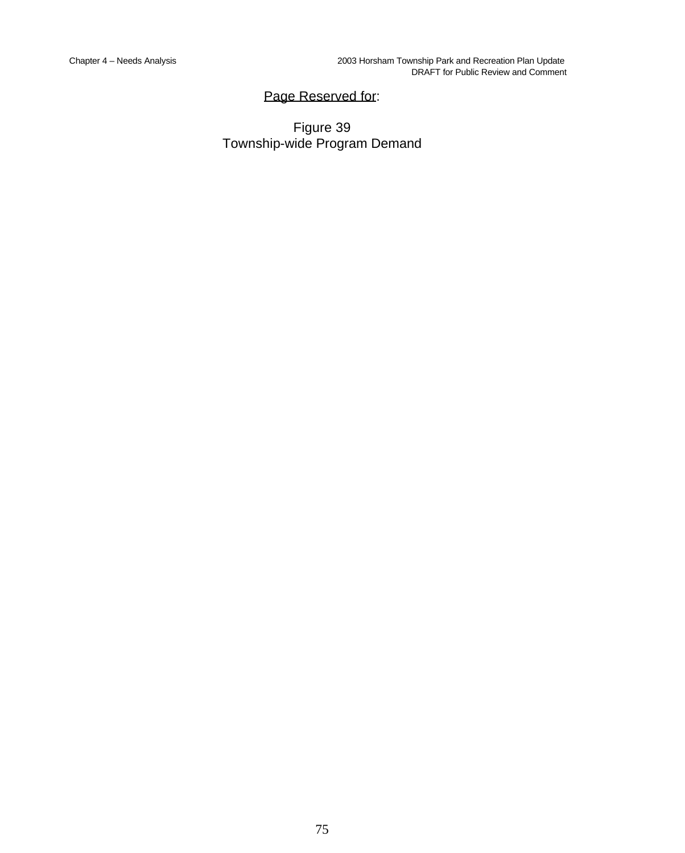# Page Reserved for:

Figure 39 Township-wide Program Demand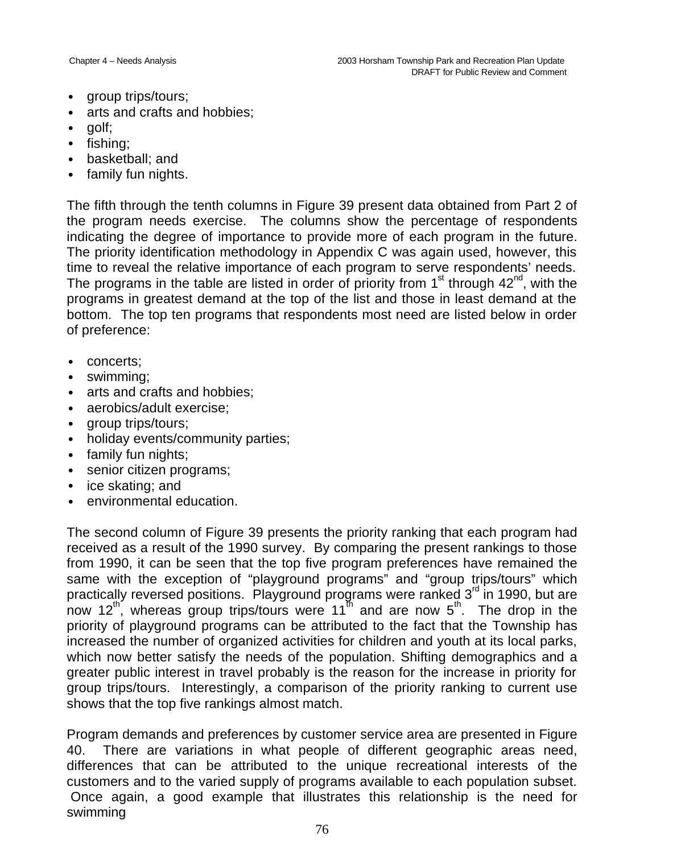- group trips/tours;
- arts and crafts and hobbies:
- golf:
- fishing;
- basketball; and
- family fun nights.

The fifth through the tenth columns in Figure 39 present data obtained from Part 2 of the program needs exercise. The columns show the percentage of respondents indicating the degree of importance to provide more of each program in the future. The priority identification methodology in Appendix C was again used, however, this time to reveal the relative importance of each program to serve respondents' needs. The programs in the table are listed in order of priority from  $1<sup>st</sup>$  through 42<sup>nd</sup>, with the programs in greatest demand at the top of the list and those in least demand at the bottom. The top ten programs that respondents most need are listed below in order of preference:

- concerts:
- swimming:
- arts and crafts and hobbies;
- aerobics/adult exercise:
- group trips/tours;
- holiday events/community parties;
- family fun nights;
- senior citizen programs;
- ice skating; and
- environmental education.

The second column of Figure 39 presents the priority ranking that each program had received as a result of the 1990 survey. By comparing the present rankings to those from 1990, it can be seen that the top five program preferences have remained the same with the exception of "playground programs" and "group trips/tours" which practically reversed positions. Playground programs were ranked 3<sup>rd</sup> in 1990, but are now 12<sup>th</sup>, whereas group trips/tours were 11<sup>th</sup> and are now 5<sup>th</sup>. The drop in the priority of playground programs can be attributed to the fact that the Township has increased the number of organized activities for children and youth at its local parks, which now better satisfy the needs of the population. Shifting demographics and a greater public interest in travel probably is the reason for the increase in priority for group trips/tours. Interestingly, a comparison of the priority ranking to current use shows that the top five rankings almost match.

Program demands and preferences by customer service area are presented in Figure 40. There are variations in what people of different geographic areas need, differences that can be attributed to the unique recreational interests of the customers and to the varied supply of programs available to each population subset. Once again, a good example that illustrates this relationship is the need for swimming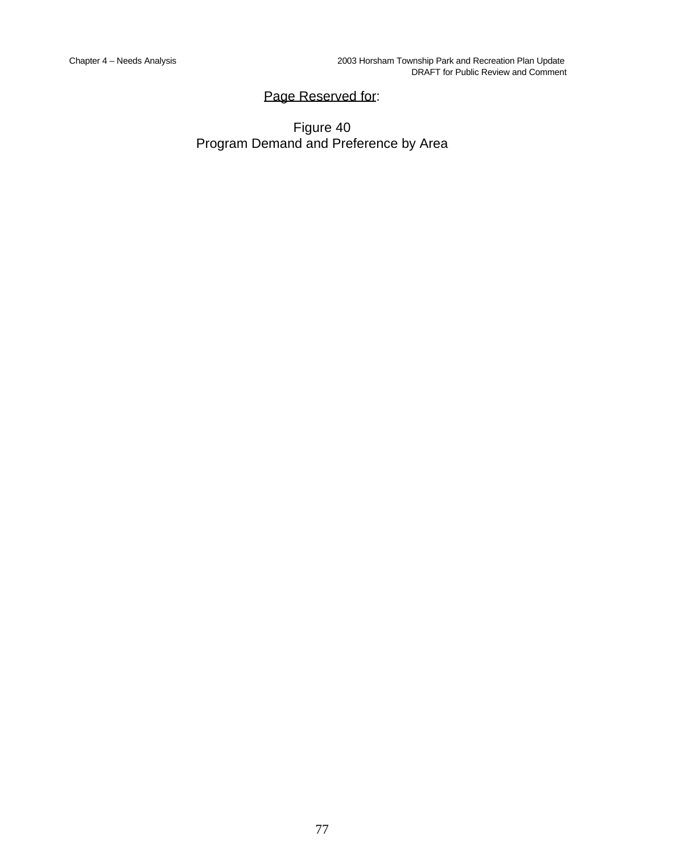# Page Reserved for:

# Figure 40 Program Demand and Preference by Area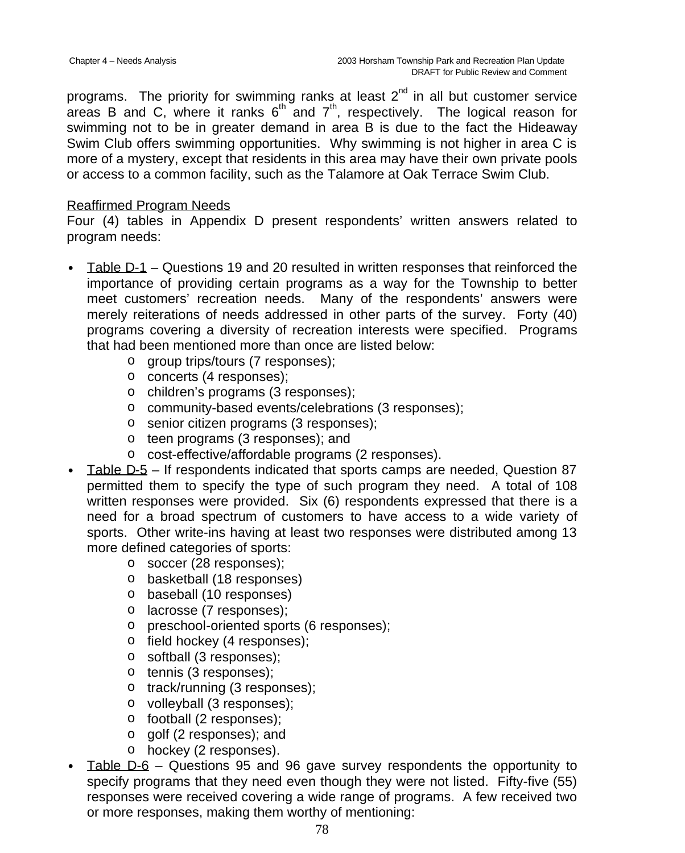programs. The priority for swimming ranks at least  $2^{nd}$  in all but customer service areas B and C, where it ranks  $6^{th}$  and  $7^{th}$ , respectively. The logical reason for swimming not to be in greater demand in area B is due to the fact the Hideaway Swim Club offers swimming opportunities. Why swimming is not higher in area C is more of a mystery, except that residents in this area may have their own private pools or access to a common facility, such as the Talamore at Oak Terrace Swim Club.

### Reaffirmed Program Needs

Four (4) tables in Appendix D present respondents' written answers related to program needs:

- Table D-1 Questions 19 and 20 resulted in written responses that reinforced the importance of providing certain programs as a way for the Township to better meet customers' recreation needs. Many of the respondents' answers were merely reiterations of needs addressed in other parts of the survey. Forty (40) programs covering a diversity of recreation interests were specified. Programs that had been mentioned more than once are listed below:
	- o group trips/tours (7 responses);
	- o concerts (4 responses);
	- o children's programs (3 responses);
	- o community-based events/celebrations (3 responses);
	- o senior citizen programs (3 responses);
	- o teen programs (3 responses); and
	- o cost-effective/affordable programs (2 responses).
- Table D-5 If respondents indicated that sports camps are needed, Question 87 permitted them to specify the type of such program they need. A total of 108 written responses were provided. Six (6) respondents expressed that there is a need for a broad spectrum of customers to have access to a wide variety of sports. Other write-ins having at least two responses were distributed among 13 more defined categories of sports:
	- o soccer (28 responses);
	- o basketball (18 responses)
	- o baseball (10 responses)
	- o lacrosse (7 responses);
	- o preschool-oriented sports (6 responses);
	- o field hockey (4 responses);
	- o softball (3 responses);
	- o tennis (3 responses);
	- o track/running (3 responses);
	- o volleyball (3 responses);
	- o football (2 responses);
	- o golf (2 responses); and
	- o hockey (2 responses).
- Table D-6 Questions 95 and 96 gave survey respondents the opportunity to specify programs that they need even though they were not listed. Fifty-five (55) responses were received covering a wide range of programs. A few received two or more responses, making them worthy of mentioning: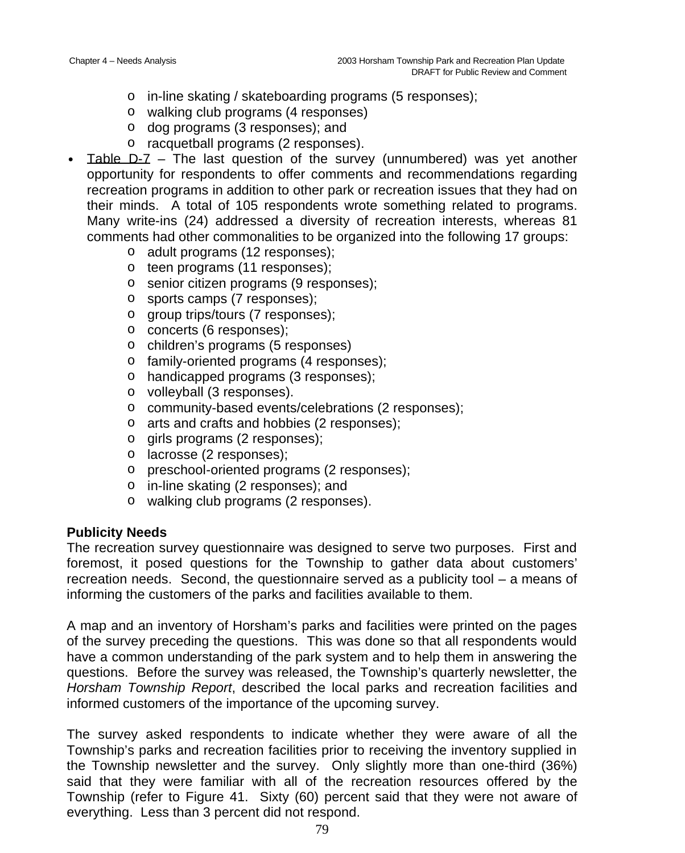- o in-line skating / skateboarding programs (5 responses);
- o walking club programs (4 responses)
- o dog programs (3 responses); and
- o racquetball programs (2 responses).
- Table  $D-Z$  The last question of the survey (unnumbered) was yet another opportunity for respondents to offer comments and recommendations regarding recreation programs in addition to other park or recreation issues that they had on their minds. A total of 105 respondents wrote something related to programs. Many write-ins (24) addressed a diversity of recreation interests, whereas 81 comments had other commonalities to be organized into the following 17 groups:
	- o adult programs (12 responses);
	- o teen programs (11 responses);
	- o senior citizen programs (9 responses);
	- o sports camps (7 responses);
	- o group trips/tours (7 responses);
	- o concerts (6 responses);
	- o children's programs (5 responses)
	- o family-oriented programs (4 responses);
	- o handicapped programs (3 responses);
	- o volleyball (3 responses).
	- o community-based events/celebrations (2 responses);
	- o arts and crafts and hobbies (2 responses);
	- o girls programs (2 responses);
	- o lacrosse (2 responses);
	- o preschool-oriented programs (2 responses);
	- o in-line skating (2 responses); and
	- o walking club programs (2 responses).

# **Publicity Needs**

The recreation survey questionnaire was designed to serve two purposes. First and foremost, it posed questions for the Township to gather data about customers' recreation needs. Second, the questionnaire served as a publicity tool – a means of informing the customers of the parks and facilities available to them.

A map and an inventory of Horsham's parks and facilities were printed on the pages of the survey preceding the questions. This was done so that all respondents would have a common understanding of the park system and to help them in answering the questions. Before the survey was released, the Township's quarterly newsletter, the *Horsham Township Report*, described the local parks and recreation facilities and informed customers of the importance of the upcoming survey.

The survey asked respondents to indicate whether they were aware of all the Township's parks and recreation facilities prior to receiving the inventory supplied in the Township newsletter and the survey. Only slightly more than one-third (36%) said that they were familiar with all of the recreation resources offered by the Township (refer to Figure 41. Sixty (60) percent said that they were not aware of everything. Less than 3 percent did not respond.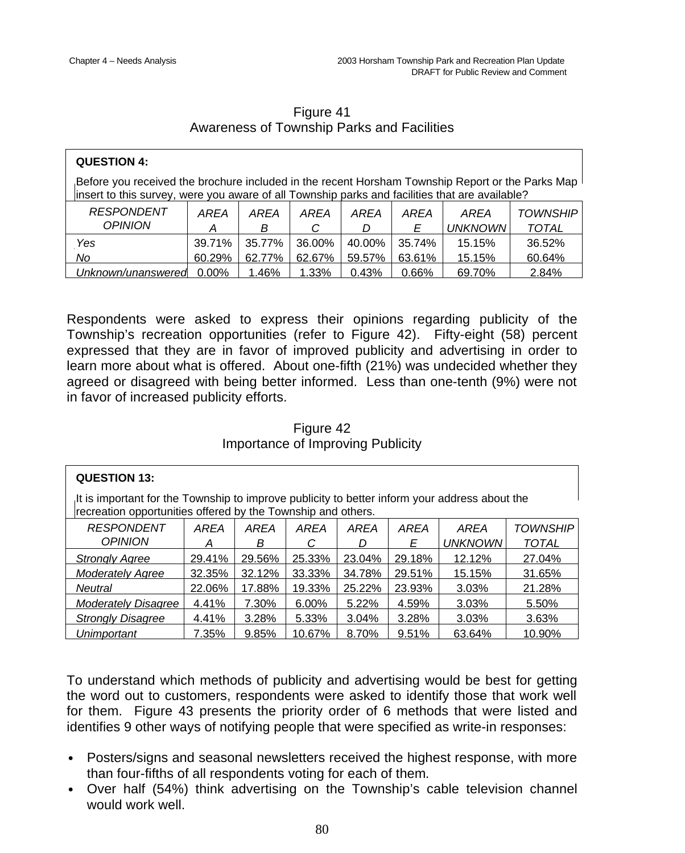| Figure 41                                  |  |  |  |  |  |  |
|--------------------------------------------|--|--|--|--|--|--|
| Awareness of Township Parks and Facilities |  |  |  |  |  |  |

| <b>QUESTION 4:</b>                                                                                                                                                                                              |           |           |           |           |           |                        |                                 |  |
|-----------------------------------------------------------------------------------------------------------------------------------------------------------------------------------------------------------------|-----------|-----------|-----------|-----------|-----------|------------------------|---------------------------------|--|
| Before you received the brochure included in the recent Horsham Township Report or the Parks Map $\mathsf{I}$<br>insert to this survey, were you aware of all Township parks and facilities that are available? |           |           |           |           |           |                        |                                 |  |
| <b>RESPONDENT</b><br><b>OPINION</b>                                                                                                                                                                             | AREA<br>А | AREA<br>B | AREA<br>C | AREA<br>D | AREA<br>F | AREA<br><b>UNKNOWN</b> | <b>TOWNSHIP</b><br><b>TOTAL</b> |  |
| Yes                                                                                                                                                                                                             | 39.71%    | 35.77%    | 36.00%    | 40.00%    | 35.74%    | 15.15%                 | 36.52%                          |  |
| No                                                                                                                                                                                                              | 60.29%    | 62.77%    | 62.67%    | 59.57%    | 63.61%    | 15.15%                 | 60.64%                          |  |
| Unknown/unanswered                                                                                                                                                                                              | $0.00\%$  | 1.46%     | 1.33%     | 0.43%     | 0.66%     | 69.70%                 | 2.84%                           |  |

Respondents were asked to express their opinions regarding publicity of the Township's recreation opportunities (refer to Figure 42). Fifty-eight (58) percent expressed that they are in favor of improved publicity and advertising in order to learn more about what is offered. About one-fifth (21%) was undecided whether they agreed or disagreed with being better informed. Less than one-tenth (9%) were not in favor of increased publicity efforts.

### Figure 42 Importance of Improving Publicity

| <b>QUESTION 13:</b>                                                                                                                                           |        |        |          |        |        |                |                 |  |
|---------------------------------------------------------------------------------------------------------------------------------------------------------------|--------|--------|----------|--------|--------|----------------|-----------------|--|
| It is important for the Township to improve publicity to better inform your address about the<br>recreation opportunities offered by the Township and others. |        |        |          |        |        |                |                 |  |
| <b>RESPONDENT</b>                                                                                                                                             | AREA   | AREA   | AREA     | AREA   | AREA   | AREA           | <b>TOWNSHIP</b> |  |
| <b>OPINION</b>                                                                                                                                                | A      | В      | С        | D      | E      | <b>UNKNOWN</b> | <b>TOTAL</b>    |  |
| <b>Strongly Agree</b>                                                                                                                                         | 29.41% | 29.56% | 25.33%   | 23.04% | 29.18% | 12.12%         | 27.04%          |  |
| <b>Moderately Agree</b>                                                                                                                                       | 32.35% | 32.12% | 33.33%   | 34.78% | 29.51% | 15.15%         | 31.65%          |  |
| <b>Neutral</b>                                                                                                                                                | 22.06% | 17.88% | 19.33%   | 25.22% | 23.93% | 3.03%          | 21.28%          |  |
| <b>Moderately Disagree</b>                                                                                                                                    | 4.41%  | 7.30%  | $6.00\%$ | 5.22%  | 4.59%  | 3.03%          | 5.50%           |  |
| 4.41%<br>3.04%<br>3.28%<br><b>Strongly Disagree</b><br>3.28%<br>5.33%<br>3.03%<br>3.63%                                                                       |        |        |          |        |        |                |                 |  |
| Unimportant                                                                                                                                                   | 7.35%  | 9.85%  | 10.67%   | 8.70%  | 9.51%  | 63.64%         | 10.90%          |  |

To understand which methods of publicity and advertising would be best for getting the word out to customers, respondents were asked to identify those that work well for them. Figure 43 presents the priority order of 6 methods that were listed and identifies 9 other ways of notifying people that were specified as write-in responses:

- Posters/signs and seasonal newsletters received the highest response, with more than four-fifths of all respondents voting for each of them.
- Over half (54%) think advertising on the Township's cable television channel would work well.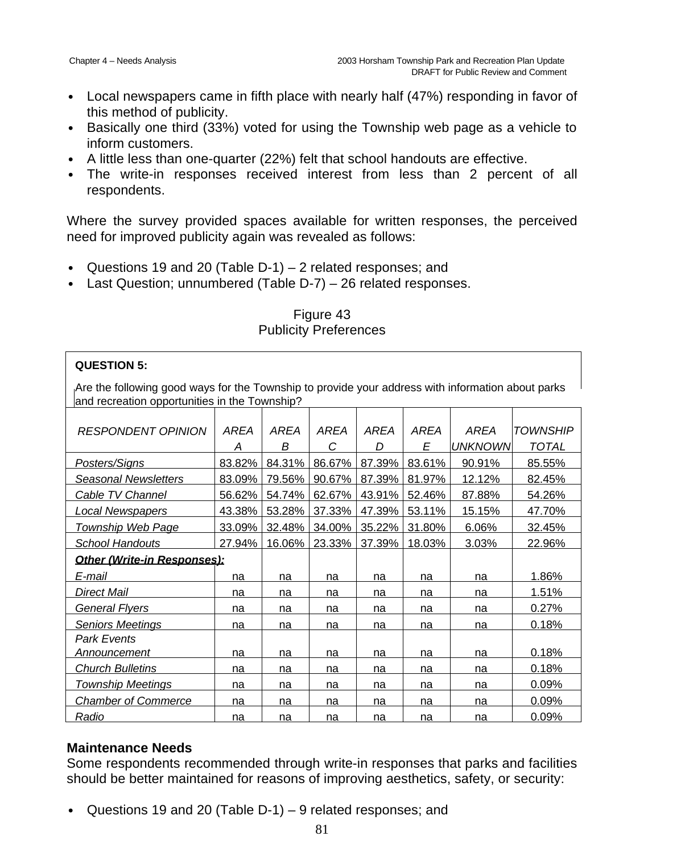- Local newspapers came in fifth place with nearly half (47%) responding in favor of this method of publicity.
- Basically one third (33%) voted for using the Township web page as a vehicle to inform customers.
- A little less than one-quarter (22%) felt that school handouts are effective.
- The write-in responses received interest from less than 2 percent of all respondents.

Where the survey provided spaces available for written responses, the perceived need for improved publicity again was revealed as follows:

- Questions 19 and 20 (Table D-1) 2 related responses; and
- Last Question; unnumbered (Table D-7) 26 related responses.

Figure 43 Publicity Preferences

### **QUESTION 5:**

Are the following good ways for the Township to provide your address with information about parks and recreation opportunities in the Township?

| RESPONDENT OPINION          | AREA   | AREA   | <b>AREA</b> | <b>AREA</b> | AREA   | AREA           | <b>TOWNSHIP</b> |
|-----------------------------|--------|--------|-------------|-------------|--------|----------------|-----------------|
|                             | A      | В      | С           | D           | E      | <b>UNKNOWN</b> | <b>TOTAL</b>    |
| Posters/Signs               | 83.82% | 84.31% | 86.67%      | 87.39%      | 83.61% | 90.91%         | 85.55%          |
| <b>Seasonal Newsletters</b> | 83.09% | 79.56% | 90.67%      | 87.39%      | 81.97% | 12.12%         | 82.45%          |
| Cable TV Channel            | 56.62% | 54.74% | 62.67%      | 43.91%      | 52.46% | 87.88%         | 54.26%          |
| <b>Local Newspapers</b>     | 43.38% | 53.28% | 37.33%      | 47.39%      | 53.11% | 15.15%         | 47.70%          |
| <b>Township Web Page</b>    | 33.09% | 32.48% | 34.00%      | 35.22%      | 31.80% | 6.06%          | 32.45%          |
| <b>School Handouts</b>      | 27.94% | 16.06% | 23.33%      | 37.39%      | 18.03% | 3.03%          | 22.96%          |
| Other (Write-in Responses): |        |        |             |             |        |                |                 |
| E-mail                      | na     | na     | na          | na          | na     | na             | 1.86%           |
| Direct Mail                 | na     | na     | na          | na          | na     | na             | 1.51%           |
| <b>General Flyers</b>       | na     | na     | na          | na          | na     | na             | 0.27%           |
| <b>Seniors Meetings</b>     | na     | na     | na          | na          | na     | na             | 0.18%           |
| <b>Park Events</b>          |        |        |             |             |        |                |                 |
| Announcement                | na     | na     | na          | na          | na     | na             | 0.18%           |
| <b>Church Bulletins</b>     | na     | na     | na          | na          | na     | na             | 0.18%           |
| <b>Township Meetings</b>    | na     | na     | na          | na          | na     | na             | 0.09%           |
| <b>Chamber of Commerce</b>  | na     | na     | na          | na          | na     | na             | 0.09%           |
| Radio                       | na     | na     | na          | na          | na     | na             | 0.09%           |

## **Maintenance Needs**

Some respondents recommended through write-in responses that parks and facilities should be better maintained for reasons of improving aesthetics, safety, or security:

• Questions 19 and 20 (Table D-1) – 9 related responses; and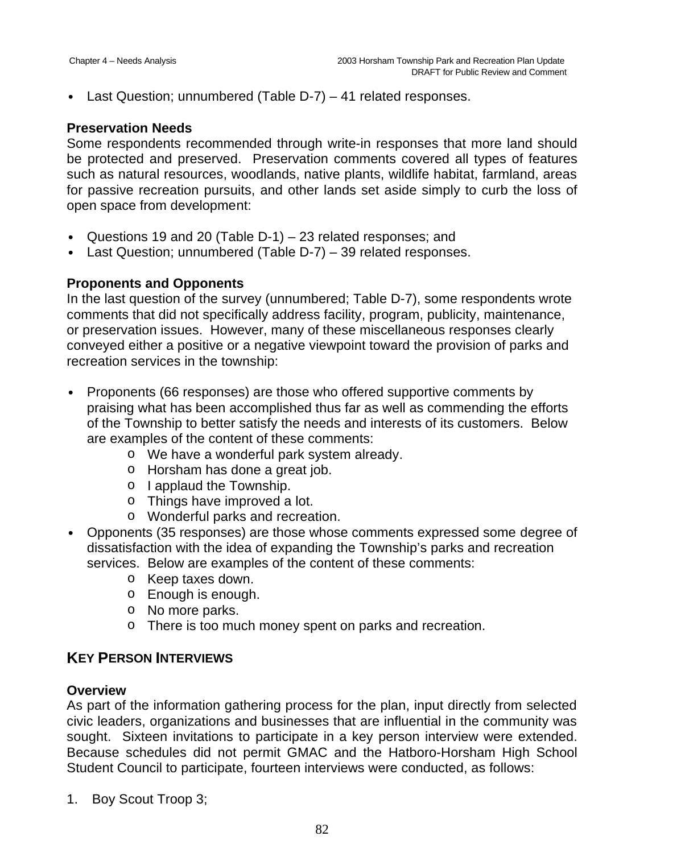• Last Question; unnumbered (Table D-7) – 41 related responses.

### **Preservation Needs**

Some respondents recommended through write-in responses that more land should be protected and preserved. Preservation comments covered all types of features such as natural resources, woodlands, native plants, wildlife habitat, farmland, areas for passive recreation pursuits, and other lands set aside simply to curb the loss of open space from development:

- Questions 19 and 20 (Table D-1) 23 related responses; and
- Last Question: unnumbered (Table D-7) 39 related responses.

## **Proponents and Opponents**

In the last question of the survey (unnumbered; Table D-7), some respondents wrote comments that did not specifically address facility, program, publicity, maintenance, or preservation issues. However, many of these miscellaneous responses clearly conveyed either a positive or a negative viewpoint toward the provision of parks and recreation services in the township:

- Proponents (66 responses) are those who offered supportive comments by praising what has been accomplished thus far as well as commending the efforts of the Township to better satisfy the needs and interests of its customers. Below are examples of the content of these comments:
	- o We have a wonderful park system already.
	- o Horsham has done a great job.
	- o I applaud the Township.
	- o Things have improved a lot.
	- o Wonderful parks and recreation.
- Opponents (35 responses) are those whose comments expressed some degree of dissatisfaction with the idea of expanding the Township's parks and recreation services. Below are examples of the content of these comments:
	- o Keep taxes down.
	- o Enough is enough.
	- o No more parks.
	- o There is too much money spent on parks and recreation.

# **KEY PERSON INTERVIEWS**

## **Overview**

As part of the information gathering process for the plan, input directly from selected civic leaders, organizations and businesses that are influential in the community was sought. Sixteen invitations to participate in a key person interview were extended. Because schedules did not permit GMAC and the Hatboro-Horsham High School Student Council to participate, fourteen interviews were conducted, as follows:

1. Boy Scout Troop 3;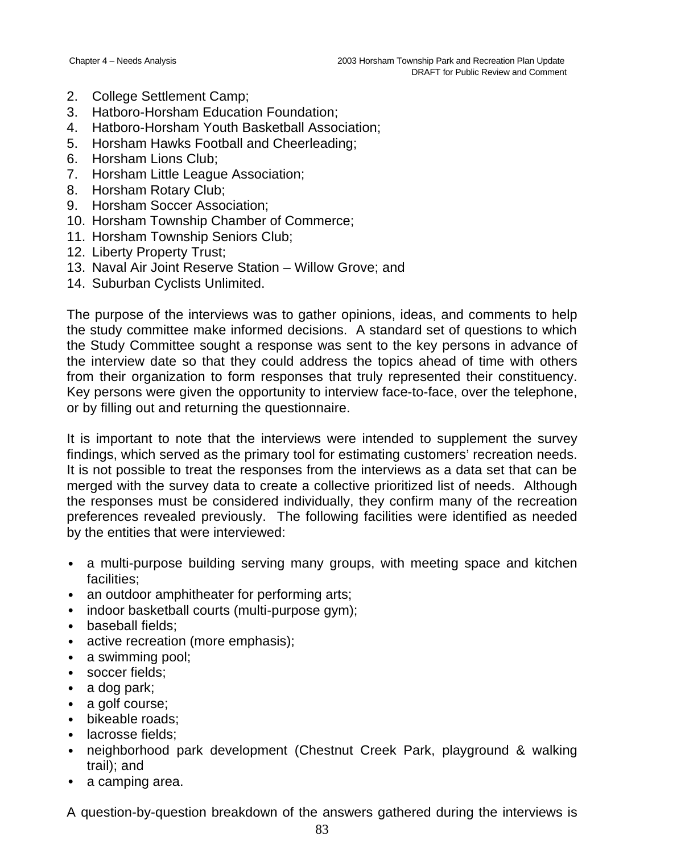- 2. College Settlement Camp;
- 3. Hatboro-Horsham Education Foundation;
- 4. Hatboro-Horsham Youth Basketball Association;
- 5. Horsham Hawks Football and Cheerleading;
- 6. Horsham Lions Club;
- 7. Horsham Little League Association;
- 8. Horsham Rotary Club;
- 9. Horsham Soccer Association;
- 10. Horsham Township Chamber of Commerce;
- 11. Horsham Township Seniors Club;
- 12. Liberty Property Trust;
- 13. Naval Air Joint Reserve Station Willow Grove; and
- 14. Suburban Cyclists Unlimited.

The purpose of the interviews was to gather opinions, ideas, and comments to help the study committee make informed decisions. A standard set of questions to which the Study Committee sought a response was sent to the key persons in advance of the interview date so that they could address the topics ahead of time with others from their organization to form responses that truly represented their constituency. Key persons were given the opportunity to interview face-to-face, over the telephone, or by filling out and returning the questionnaire.

It is important to note that the interviews were intended to supplement the survey findings, which served as the primary tool for estimating customers' recreation needs. It is not possible to treat the responses from the interviews as a data set that can be merged with the survey data to create a collective prioritized list of needs. Although the responses must be considered individually, they confirm many of the recreation preferences revealed previously. The following facilities were identified as needed by the entities that were interviewed:

- a multi-purpose building serving many groups, with meeting space and kitchen facilities;
- an outdoor amphitheater for performing arts;
- indoor basketball courts (multi-purpose gym);
- baseball fields;
- active recreation (more emphasis);
- a swimming pool;
- soccer fields;
- a dog park;
- a golf course;
- bikeable roads;
- lacrosse fields;
- neighborhood park development (Chestnut Creek Park, playground & walking trail); and
- a camping area.

A question-by-question breakdown of the answers gathered during the interviews is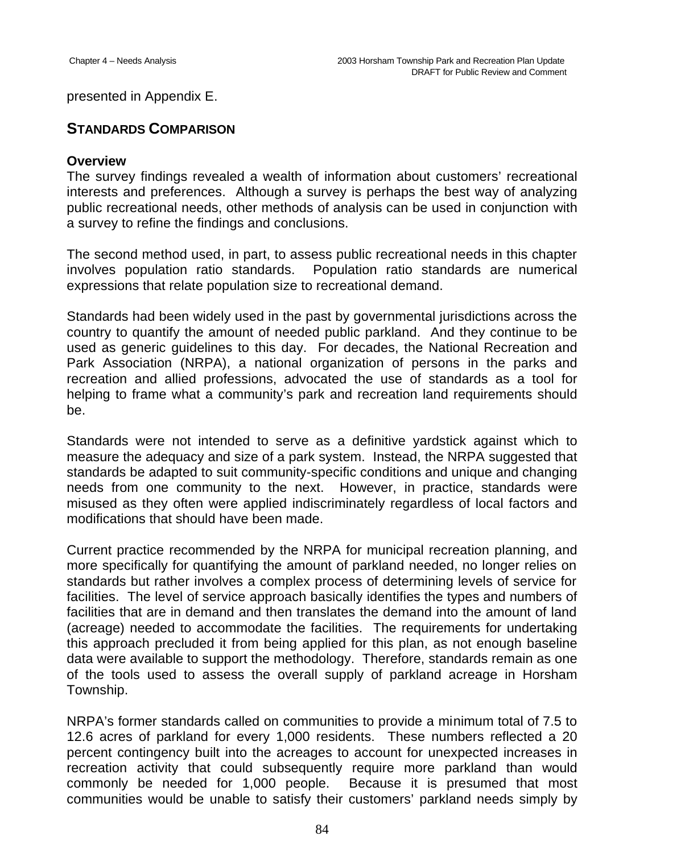presented in Appendix E.

# **STANDARDS COMPARISON**

#### **Overview**

The survey findings revealed a wealth of information about customers' recreational interests and preferences. Although a survey is perhaps the best way of analyzing public recreational needs, other methods of analysis can be used in conjunction with a survey to refine the findings and conclusions.

The second method used, in part, to assess public recreational needs in this chapter involves population ratio standards. Population ratio standards are numerical expressions that relate population size to recreational demand.

Standards had been widely used in the past by governmental jurisdictions across the country to quantify the amount of needed public parkland. And they continue to be used as generic guidelines to this day. For decades, the National Recreation and Park Association (NRPA), a national organization of persons in the parks and recreation and allied professions, advocated the use of standards as a tool for helping to frame what a community's park and recreation land requirements should be.

Standards were not intended to serve as a definitive yardstick against which to measure the adequacy and size of a park system. Instead, the NRPA suggested that standards be adapted to suit community-specific conditions and unique and changing needs from one community to the next. However, in practice, standards were misused as they often were applied indiscriminately regardless of local factors and modifications that should have been made.

Current practice recommended by the NRPA for municipal recreation planning, and more specifically for quantifying the amount of parkland needed, no longer relies on standards but rather involves a complex process of determining levels of service for facilities. The level of service approach basically identifies the types and numbers of facilities that are in demand and then translates the demand into the amount of land (acreage) needed to accommodate the facilities. The requirements for undertaking this approach precluded it from being applied for this plan, as not enough baseline data were available to support the methodology. Therefore, standards remain as one of the tools used to assess the overall supply of parkland acreage in Horsham Township.

NRPA's former standards called on communities to provide a minimum total of 7.5 to 12.6 acres of parkland for every 1,000 residents. These numbers reflected a 20 percent contingency built into the acreages to account for unexpected increases in recreation activity that could subsequently require more parkland than would commonly be needed for 1,000 people. Because it is presumed that most communities would be unable to satisfy their customers' parkland needs simply by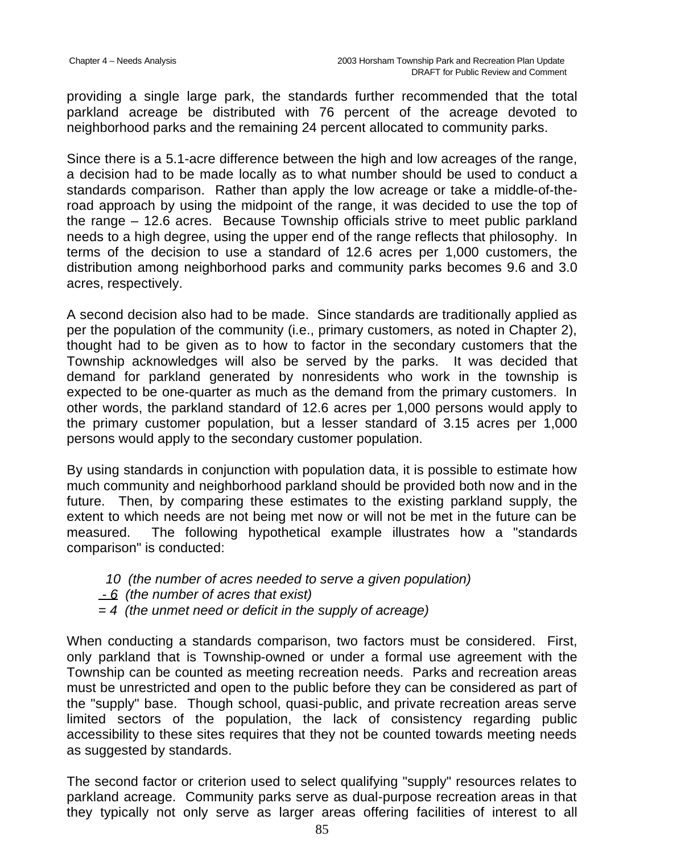providing a single large park, the standards further recommended that the total parkland acreage be distributed with 76 percent of the acreage devoted to neighborhood parks and the remaining 24 percent allocated to community parks.

Since there is a 5.1-acre difference between the high and low acreages of the range, a decision had to be made locally as to what number should be used to conduct a standards comparison. Rather than apply the low acreage or take a middle-of-theroad approach by using the midpoint of the range, it was decided to use the top of the range – 12.6 acres. Because Township officials strive to meet public parkland needs to a high degree, using the upper end of the range reflects that philosophy. In terms of the decision to use a standard of 12.6 acres per 1,000 customers, the distribution among neighborhood parks and community parks becomes 9.6 and 3.0 acres, respectively.

A second decision also had to be made. Since standards are traditionally applied as per the population of the community (i.e., primary customers, as noted in Chapter 2), thought had to be given as to how to factor in the secondary customers that the Township acknowledges will also be served by the parks. It was decided that demand for parkland generated by nonresidents who work in the township is expected to be one-quarter as much as the demand from the primary customers. In other words, the parkland standard of 12.6 acres per 1,000 persons would apply to the primary customer population, but a lesser standard of 3.15 acres per 1,000 persons would apply to the secondary customer population.

By using standards in conjunction with population data, it is possible to estimate how much community and neighborhood parkland should be provided both now and in the future. Then, by comparing these estimates to the existing parkland supply, the extent to which needs are not being met now or will not be met in the future can be measured. The following hypothetical example illustrates how a "standards comparison" is conducted:

- *10 (the number of acres needed to serve a given population)*
- *6 (the number of acres that exist)*
- *= 4 (the unmet need or deficit in the supply of acreage)*

When conducting a standards comparison, two factors must be considered. First, only parkland that is Township-owned or under a formal use agreement with the Township can be counted as meeting recreation needs. Parks and recreation areas must be unrestricted and open to the public before they can be considered as part of the "supply" base. Though school, quasi-public, and private recreation areas serve limited sectors of the population, the lack of consistency regarding public accessibility to these sites requires that they not be counted towards meeting needs as suggested by standards.

The second factor or criterion used to select qualifying "supply" resources relates to parkland acreage. Community parks serve as dual-purpose recreation areas in that they typically not only serve as larger areas offering facilities of interest to all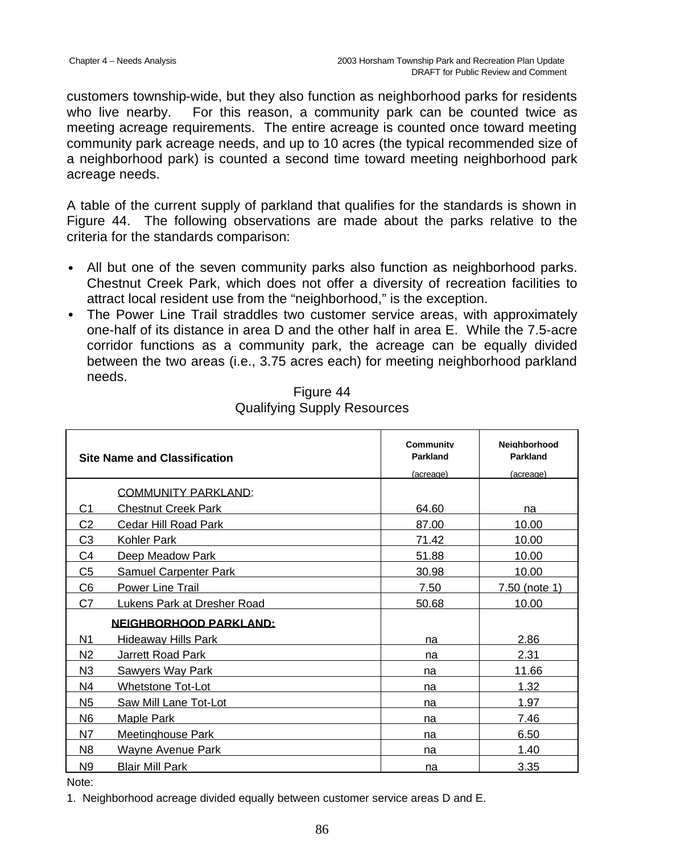customers township-wide, but they also function as neighborhood parks for residents who live nearby. For this reason, a community park can be counted twice as meeting acreage requirements. The entire acreage is counted once toward meeting community park acreage needs, and up to 10 acres (the typical recommended size of a neighborhood park) is counted a second time toward meeting neighborhood park acreage needs.

A table of the current supply of parkland that qualifies for the standards is shown in Figure 44. The following observations are made about the parks relative to the criteria for the standards comparison:

- All but one of the seven community parks also function as neighborhood parks. Chestnut Creek Park, which does not offer a diversity of recreation facilities to attract local resident use from the "neighborhood," is the exception.
- The Power Line Trail straddles two customer service areas, with approximately one-half of its distance in area D and the other half in area E. While the 7.5-acre corridor functions as a community park, the acreage can be equally divided between the two areas (i.e., 3.75 acres each) for meeting neighborhood parkland needs.

|                | <b>Site Name and Classification</b> | <b>Community</b><br>Parkland<br>(acreage) | <b>Neighborhood</b><br>Parkland<br>(acreage) |
|----------------|-------------------------------------|-------------------------------------------|----------------------------------------------|
|                | <b>COMMUNITY PARKLAND:</b>          |                                           |                                              |
| C1             | <b>Chestnut Creek Park</b>          | 64.60                                     | na                                           |
| C <sub>2</sub> | Cedar Hill Road Park                | 87.00                                     | 10.00                                        |
| C <sub>3</sub> | Kohler Park                         | 71.42                                     | 10.00                                        |
| C4             | Deep Meadow Park                    | 51.88                                     | 10.00                                        |
| C5             | <b>Samuel Carpenter Park</b>        | 30.98                                     | 10.00                                        |
| C <sub>6</sub> | <b>Power Line Trail</b>             | 7.50                                      | 7.50 (note 1)                                |
| C7             | Lukens Park at Dresher Road         | 50.68                                     | 10.00                                        |
|                | <b>NEIGHBORHOOD PARKLAND:</b>       |                                           |                                              |
| N1             | Hideaway Hills Park                 | na                                        | 2.86                                         |
| N2             | <b>Jarrett Road Park</b>            | na                                        | 2.31                                         |
| N <sub>3</sub> | Sawyers Way Park                    | na                                        | 11.66                                        |
| N4             | Whetstone Tot-Lot                   | na                                        | 1.32                                         |
| N <sub>5</sub> | Saw Mill Lane Tot-Lot               | na                                        | 1.97                                         |
| N6             | <b>Maple Park</b>                   | na                                        | 7.46                                         |
| N7             | <b>Meetinghouse Park</b>            | na                                        | 6.50                                         |
| N <sub>8</sub> | Wavne Avenue Park                   | na                                        | 1.40                                         |
| N <sub>9</sub> | <b>Blair Mill Park</b>              | na                                        | 3.35                                         |

# Figure 44 Qualifying Supply Resources

Note:

1. Neighborhood acreage divided equally between customer service areas D and E.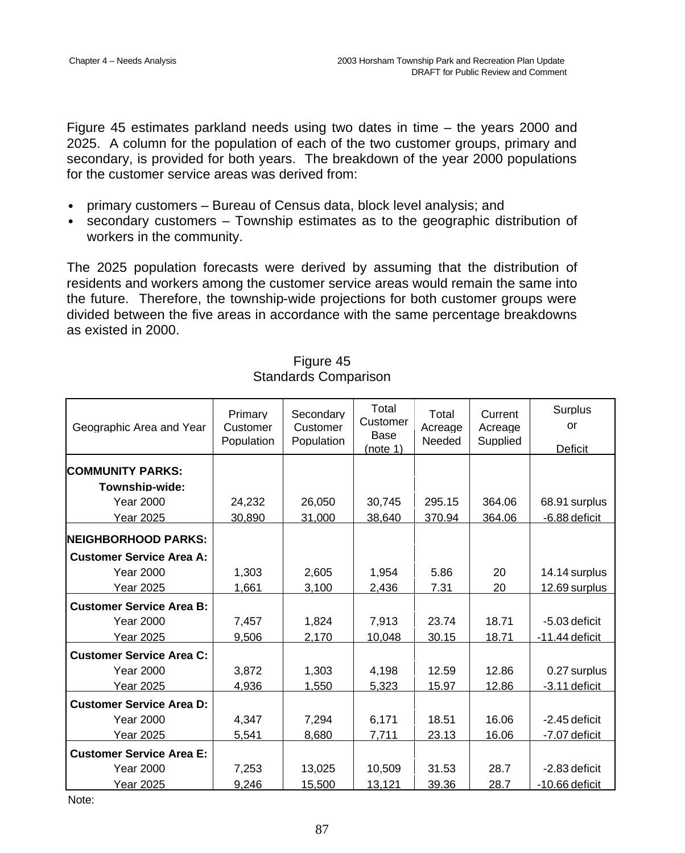Figure 45 estimates parkland needs using two dates in time – the years 2000 and 2025. A column for the population of each of the two customer groups, primary and secondary, is provided for both years. The breakdown of the year 2000 populations for the customer service areas was derived from:

- primary customers Bureau of Census data, block level analysis; and
- secondary customers Township estimates as to the geographic distribution of workers in the community.

The 2025 population forecasts were derived by assuming that the distribution of residents and workers among the customer service areas would remain the same into the future. Therefore, the township-wide projections for both customer groups were divided between the five areas in accordance with the same percentage breakdowns as existed in 2000.

| Geographic Area and Year        | Primary<br>Customer<br>Population | Secondary<br>Customer<br>Population | Total<br>Customer<br>Base<br>(note 1) | Total<br>Acreage<br>Needed | Current<br>Acreage<br>Supplied | <b>Surplus</b><br>or<br>Deficit |
|---------------------------------|-----------------------------------|-------------------------------------|---------------------------------------|----------------------------|--------------------------------|---------------------------------|
|                                 |                                   |                                     |                                       |                            |                                |                                 |
| <b>COMMUNITY PARKS:</b>         |                                   |                                     |                                       |                            |                                |                                 |
| Township-wide:                  |                                   |                                     |                                       |                            |                                |                                 |
| <b>Year 2000</b>                | 24,232                            | 26,050                              | 30,745                                | 295.15                     | 364.06                         | 68.91 surplus                   |
| Year 2025                       | 30,890                            | 31,000                              | 38,640                                | 370.94                     | 364.06                         | -6.88 deficit                   |
| NEIGHBORHOOD PARKS:             |                                   |                                     |                                       |                            |                                |                                 |
| <b>Customer Service Area A:</b> |                                   |                                     |                                       |                            |                                |                                 |
| <b>Year 2000</b>                | 1,303                             | 2,605                               | 1,954                                 | 5.86                       | 20                             | 14.14 surplus                   |
| <b>Year 2025</b>                | 1,661                             | 3,100                               | 2,436                                 | 7.31                       | 20                             | 12.69 surplus                   |
| <b>Customer Service Area B:</b> |                                   |                                     |                                       |                            |                                |                                 |
| <b>Year 2000</b>                | 7,457                             | 1,824                               | 7,913                                 | 23.74                      | 18.71                          | -5.03 deficit                   |
| <b>Year 2025</b>                | 9,506                             | 2,170                               | 10,048                                | 30.15                      | 18.71                          | $-11.44$ deficit                |
| <b>Customer Service Area C:</b> |                                   |                                     |                                       |                            |                                |                                 |
| <b>Year 2000</b>                | 3,872                             | 1,303                               | 4,198                                 | 12.59                      | 12.86                          | 0.27 surplus                    |
| <b>Year 2025</b>                | 4,936                             | 1,550                               | 5,323                                 | 15.97                      | 12.86                          | -3.11 deficit                   |
| <b>Customer Service Area D:</b> |                                   |                                     |                                       |                            |                                |                                 |
| <b>Year 2000</b>                | 4,347                             | 7,294                               | 6,171                                 | 18.51                      | 16.06                          | -2.45 deficit                   |
| <b>Year 2025</b>                | 5,541                             | 8,680                               | 7,711                                 | 23.13                      | 16.06                          | -7.07 deficit                   |
| <b>Customer Service Area E:</b> |                                   |                                     |                                       |                            |                                |                                 |
| <b>Year 2000</b>                | 7,253                             | 13,025                              | 10,509                                | 31.53                      | 28.7                           | -2.83 deficit                   |
| <b>Year 2025</b>                | 9,246                             | 15,500                              | 13,121                                | 39.36                      | 28.7                           | -10.66 deficit                  |

### Figure 45 Standards Comparison

Note: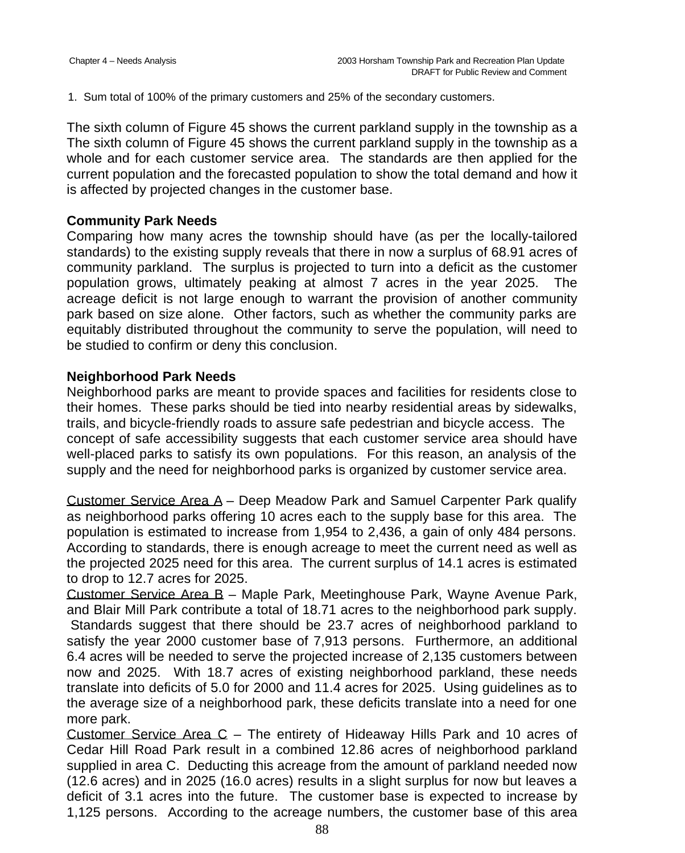1. Sum total of 100% of the primary customers and 25% of the secondary customers.

The sixth column of Figure 45 shows the current parkland supply in the township as a The sixth column of Figure 45 shows the current parkland supply in the township as a whole and for each customer service area. The standards are then applied for the current population and the forecasted population to show the total demand and how it is affected by projected changes in the customer base.

### **Community Park Needs**

Comparing how many acres the township should have (as per the locally-tailored standards) to the existing supply reveals that there in now a surplus of 68.91 acres of community parkland. The surplus is projected to turn into a deficit as the customer population grows, ultimately peaking at almost 7 acres in the year 2025. The acreage deficit is not large enough to warrant the provision of another community park based on size alone. Other factors, such as whether the community parks are equitably distributed throughout the community to serve the population, will need to be studied to confirm or deny this conclusion.

### **Neighborhood Park Needs**

Neighborhood parks are meant to provide spaces and facilities for residents close to their homes. These parks should be tied into nearby residential areas by sidewalks, trails, and bicycle-friendly roads to assure safe pedestrian and bicycle access. The concept of safe accessibility suggests that each customer service area should have well-placed parks to satisfy its own populations. For this reason, an analysis of the supply and the need for neighborhood parks is organized by customer service area.

Customer Service Area A – Deep Meadow Park and Samuel Carpenter Park qualify as neighborhood parks offering 10 acres each to the supply base for this area. The population is estimated to increase from 1,954 to 2,436, a gain of only 484 persons. According to standards, there is enough acreage to meet the current need as well as the projected 2025 need for this area. The current surplus of 14.1 acres is estimated to drop to 12.7 acres for 2025.

Customer Service Area B – Maple Park, Meetinghouse Park, Wayne Avenue Park, and Blair Mill Park contribute a total of 18.71 acres to the neighborhood park supply. Standards suggest that there should be 23.7 acres of neighborhood parkland to satisfy the year 2000 customer base of 7,913 persons. Furthermore, an additional 6.4 acres will be needed to serve the projected increase of 2,135 customers between now and 2025. With 18.7 acres of existing neighborhood parkland, these needs translate into deficits of 5.0 for 2000 and 11.4 acres for 2025. Using guidelines as to the average size of a neighborhood park, these deficits translate into a need for one more park.

Customer Service Area  $C -$  The entirety of Hideaway Hills Park and 10 acres of Cedar Hill Road Park result in a combined 12.86 acres of neighborhood parkland supplied in area C. Deducting this acreage from the amount of parkland needed now (12.6 acres) and in 2025 (16.0 acres) results in a slight surplus for now but leaves a deficit of 3.1 acres into the future. The customer base is expected to increase by 1,125 persons. According to the acreage numbers, the customer base of this area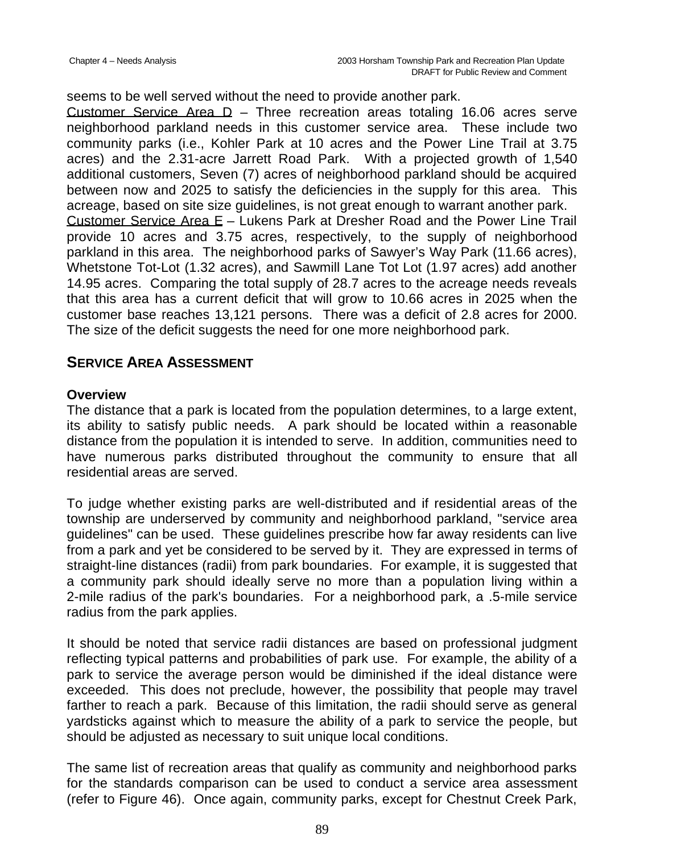seems to be well served without the need to provide another park.

Customer Service Area  $D -$  Three recreation areas totaling 16.06 acres serve neighborhood parkland needs in this customer service area. These include two community parks (i.e., Kohler Park at 10 acres and the Power Line Trail at 3.75 acres) and the 2.31-acre Jarrett Road Park. With a projected growth of 1,540 additional customers, Seven (7) acres of neighborhood parkland should be acquired between now and 2025 to satisfy the deficiencies in the supply for this area. This acreage, based on site size guidelines, is not great enough to warrant another park. Customer Service Area E – Lukens Park at Dresher Road and the Power Line Trail provide 10 acres and 3.75 acres, respectively, to the supply of neighborhood parkland in this area. The neighborhood parks of Sawyer's Way Park (11.66 acres), Whetstone Tot-Lot (1.32 acres), and Sawmill Lane Tot Lot (1.97 acres) add another 14.95 acres. Comparing the total supply of 28.7 acres to the acreage needs reveals that this area has a current deficit that will grow to 10.66 acres in 2025 when the customer base reaches 13,121 persons. There was a deficit of 2.8 acres for 2000. The size of the deficit suggests the need for one more neighborhood park.

# **SERVICE AREA ASSESSMENT**

### **Overview**

The distance that a park is located from the population determines, to a large extent, its ability to satisfy public needs. A park should be located within a reasonable distance from the population it is intended to serve. In addition, communities need to have numerous parks distributed throughout the community to ensure that all residential areas are served.

To judge whether existing parks are well-distributed and if residential areas of the township are underserved by community and neighborhood parkland, "service area guidelines" can be used. These guidelines prescribe how far away residents can live from a park and yet be considered to be served by it. They are expressed in terms of straight-line distances (radii) from park boundaries. For example, it is suggested that a community park should ideally serve no more than a population living within a 2-mile radius of the park's boundaries. For a neighborhood park, a .5-mile service radius from the park applies.

It should be noted that service radii distances are based on professional judgment reflecting typical patterns and probabilities of park use. For example, the ability of a park to service the average person would be diminished if the ideal distance were exceeded. This does not preclude, however, the possibility that people may travel farther to reach a park. Because of this limitation, the radii should serve as general yardsticks against which to measure the ability of a park to service the people, but should be adjusted as necessary to suit unique local conditions.

The same list of recreation areas that qualify as community and neighborhood parks for the standards comparison can be used to conduct a service area assessment (refer to Figure 46). Once again, community parks, except for Chestnut Creek Park,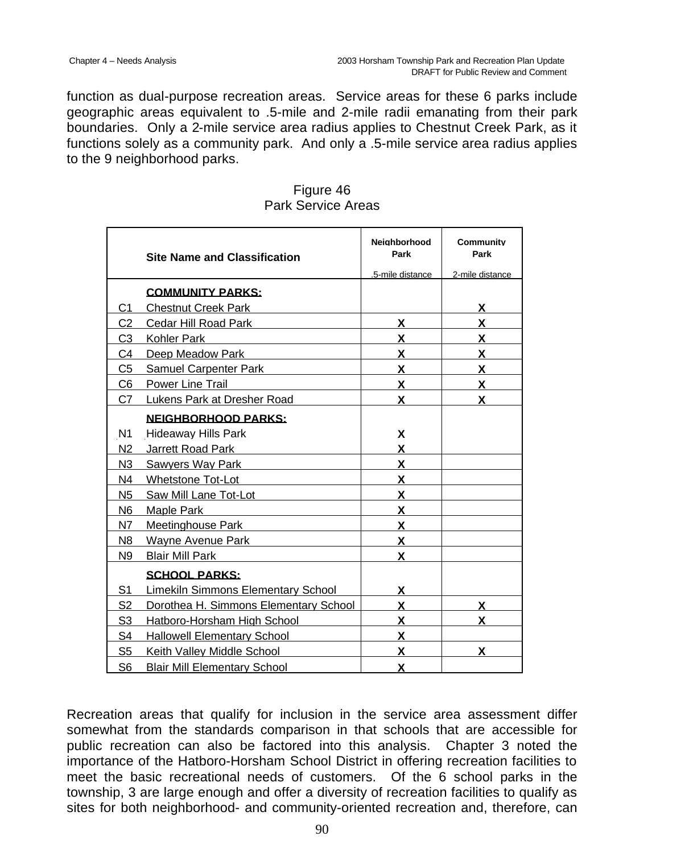function as dual-purpose recreation areas. Service areas for these 6 parks include geographic areas equivalent to .5-mile and 2-mile radii emanating from their park boundaries. Only a 2-mile service area radius applies to Chestnut Creek Park, as it functions solely as a community park. And only a .5-mile service area radius applies to the 9 neighborhood parks.

|                | <b>Site Name and Classification</b>   | <b>Neighborhood</b><br>Park | Community<br>Park |
|----------------|---------------------------------------|-----------------------------|-------------------|
|                |                                       | .5-mile distance            | 2-mile distance   |
|                | <b>COMMUNITY PARKS:</b>               |                             |                   |
| C <sub>1</sub> | <b>Chestnut Creek Park</b>            |                             | X                 |
| C <sub>2</sub> | Cedar Hill Road Park                  | X                           | X                 |
| C <sub>3</sub> | Kohler Park                           | X                           | X                 |
| C4             | Deep Meadow Park                      | X                           | X                 |
| C <sub>5</sub> | <b>Samuel Carpenter Park</b>          | X                           | X                 |
| C <sub>6</sub> | <b>Power Line Trail</b>               | X                           | X.                |
| C <sub>7</sub> | Lukens Park at Dresher Road           | <b>X</b>                    | X.                |
|                | <b>NEIGHBORHOOD PARKS:</b>            |                             |                   |
| N1             | <b>Hideaway Hills Park</b>            | X                           |                   |
| N <sub>2</sub> | Jarrett Road Park                     | X                           |                   |
| N <sub>3</sub> | Sawyers Way Park                      | X                           |                   |
| N4             | Whetstone Tot-Lot                     | X                           |                   |
| N <sub>5</sub> | Saw Mill Lane Tot-Lot                 | X                           |                   |
| N <sub>6</sub> | Maple Park                            | X                           |                   |
| N7             | Meetinghouse Park                     | X                           |                   |
| N8             | Wayne Avenue Park                     | X                           |                   |
| N9             | <b>Blair Mill Park</b>                | X                           |                   |
|                | <b>SCHOOL PARKS:</b>                  |                             |                   |
| S <sub>1</sub> | Limekiln Simmons Elementary School    | X                           |                   |
| S <sub>2</sub> | Dorothea H. Simmons Elementary School | X                           | X                 |
| S <sub>3</sub> | Hatboro-Horsham High School           | X                           | x                 |
| S4             | <b>Hallowell Elementary School</b>    | X                           |                   |
| S <sub>5</sub> | Keith Valley Middle School            | X                           | x                 |
| S <sub>6</sub> | <b>Blair Mill Elementary School</b>   | X                           |                   |

Figure 46 Park Service Areas

Recreation areas that qualify for inclusion in the service area assessment differ somewhat from the standards comparison in that schools that are accessible for public recreation can also be factored into this analysis. Chapter 3 noted the importance of the Hatboro-Horsham School District in offering recreation facilities to meet the basic recreational needs of customers. Of the 6 school parks in the township, 3 are large enough and offer a diversity of recreation facilities to qualify as sites for both neighborhood- and community-oriented recreation and, therefore, can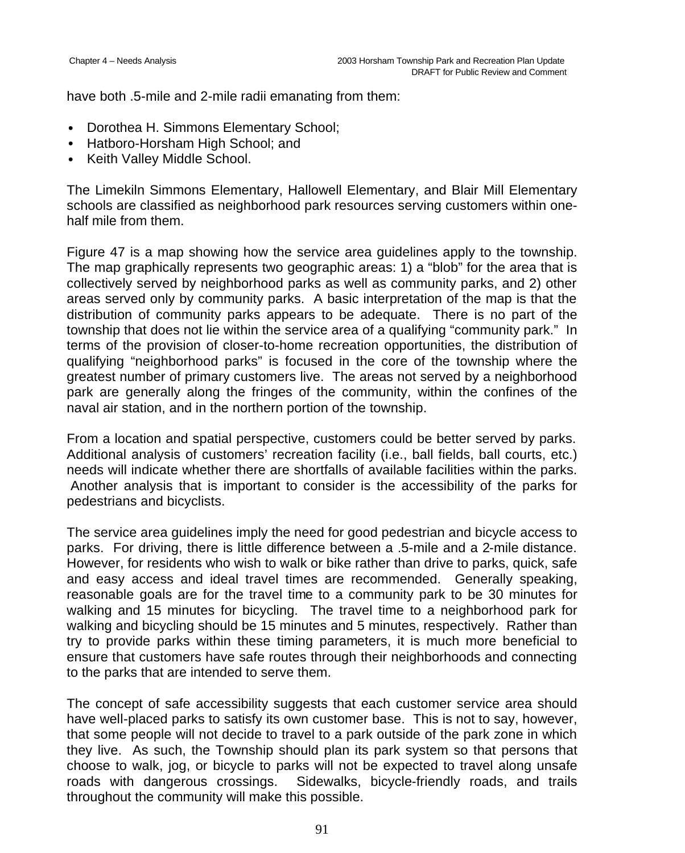have both .5-mile and 2-mile radii emanating from them:

- Dorothea H. Simmons Elementary School;
- Hatboro-Horsham High School: and
- Keith Valley Middle School.

The Limekiln Simmons Elementary, Hallowell Elementary, and Blair Mill Elementary schools are classified as neighborhood park resources serving customers within onehalf mile from them.

Figure 47 is a map showing how the service area guidelines apply to the township. The map graphically represents two geographic areas: 1) a "blob" for the area that is collectively served by neighborhood parks as well as community parks, and 2) other areas served only by community parks. A basic interpretation of the map is that the distribution of community parks appears to be adequate. There is no part of the township that does not lie within the service area of a qualifying "community park." In terms of the provision of closer-to-home recreation opportunities, the distribution of qualifying "neighborhood parks" is focused in the core of the township where the greatest number of primary customers live. The areas not served by a neighborhood park are generally along the fringes of the community, within the confines of the naval air station, and in the northern portion of the township.

From a location and spatial perspective, customers could be better served by parks. Additional analysis of customers' recreation facility (i.e., ball fields, ball courts, etc.) needs will indicate whether there are shortfalls of available facilities within the parks. Another analysis that is important to consider is the accessibility of the parks for pedestrians and bicyclists.

The service area guidelines imply the need for good pedestrian and bicycle access to parks. For driving, there is little difference between a .5-mile and a 2-mile distance. However, for residents who wish to walk or bike rather than drive to parks, quick, safe and easy access and ideal travel times are recommended. Generally speaking, reasonable goals are for the travel time to a community park to be 30 minutes for walking and 15 minutes for bicycling. The travel time to a neighborhood park for walking and bicycling should be 15 minutes and 5 minutes, respectively. Rather than try to provide parks within these timing parameters, it is much more beneficial to ensure that customers have safe routes through their neighborhoods and connecting to the parks that are intended to serve them.

The concept of safe accessibility suggests that each customer service area should have well-placed parks to satisfy its own customer base. This is not to say, however, that some people will not decide to travel to a park outside of the park zone in which they live. As such, the Township should plan its park system so that persons that choose to walk, jog, or bicycle to parks will not be expected to travel along unsafe roads with dangerous crossings. Sidewalks, bicycle-friendly roads, and trails throughout the community will make this possible.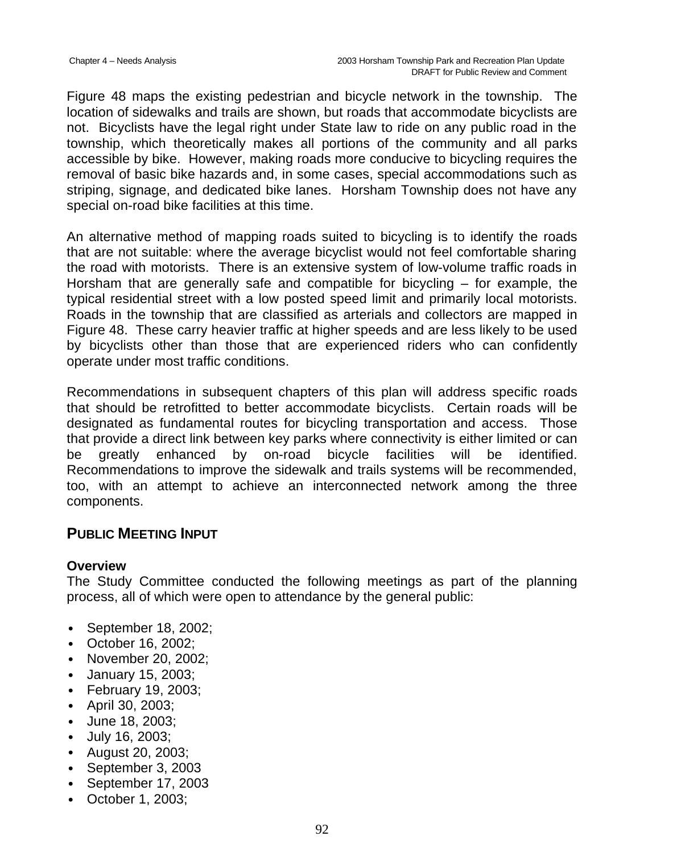Figure 48 maps the existing pedestrian and bicycle network in the township. The location of sidewalks and trails are shown, but roads that accommodate bicyclists are not. Bicyclists have the legal right under State law to ride on any public road in the township, which theoretically makes all portions of the community and all parks accessible by bike. However, making roads more conducive to bicycling requires the removal of basic bike hazards and, in some cases, special accommodations such as striping, signage, and dedicated bike lanes. Horsham Township does not have any special on-road bike facilities at this time.

An alternative method of mapping roads suited to bicycling is to identify the roads that are not suitable: where the average bicyclist would not feel comfortable sharing the road with motorists. There is an extensive system of low-volume traffic roads in Horsham that are generally safe and compatible for bicycling – for example, the typical residential street with a low posted speed limit and primarily local motorists. Roads in the township that are classified as arterials and collectors are mapped in Figure 48. These carry heavier traffic at higher speeds and are less likely to be used by bicyclists other than those that are experienced riders who can confidently operate under most traffic conditions.

Recommendations in subsequent chapters of this plan will address specific roads that should be retrofitted to better accommodate bicyclists. Certain roads will be designated as fundamental routes for bicycling transportation and access. Those that provide a direct link between key parks where connectivity is either limited or can be greatly enhanced by on-road bicycle facilities will be identified. Recommendations to improve the sidewalk and trails systems will be recommended, too, with an attempt to achieve an interconnected network among the three components.

## **PUBLIC MEETING INPUT**

#### **Overview**

The Study Committee conducted the following meetings as part of the planning process, all of which were open to attendance by the general public:

- September 18, 2002;
- October 16, 2002;
- November 20, 2002;
- January 15, 2003;
- February 19, 2003;
- April 30, 2003;
- June 18, 2003;
- July 16, 2003;
- August 20, 2003;
- September 3, 2003
- September 17, 2003
- October 1, 2003;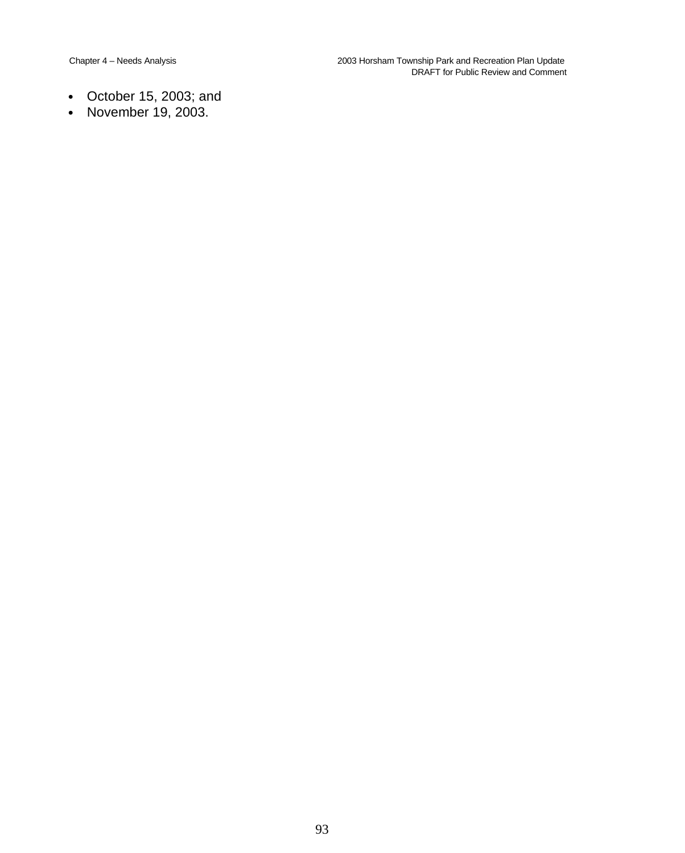- October 15, 2003; and
- November 19, 2003.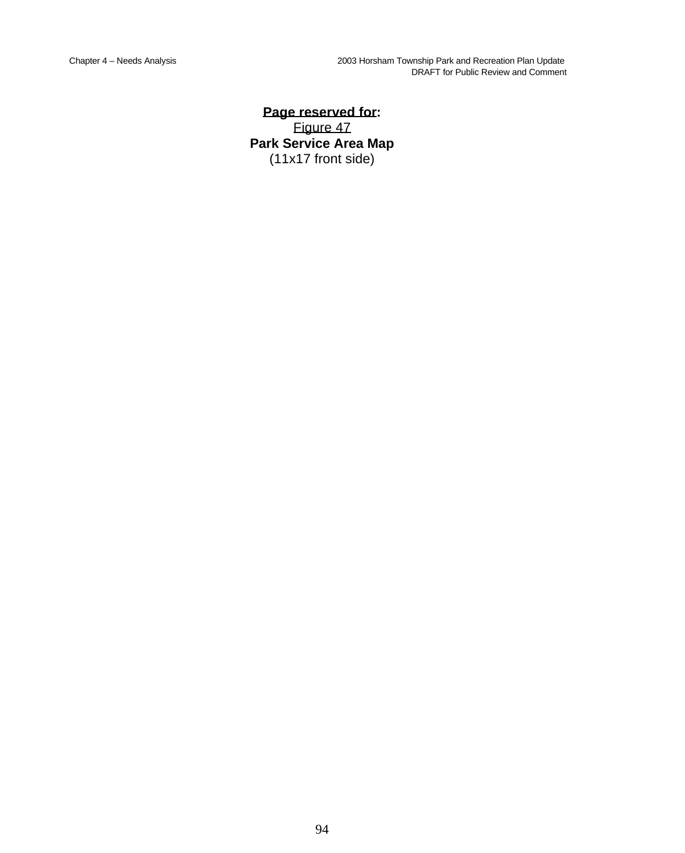**Page reserved for:** Figure 47 **Park Service Area Map** (11x17 front side)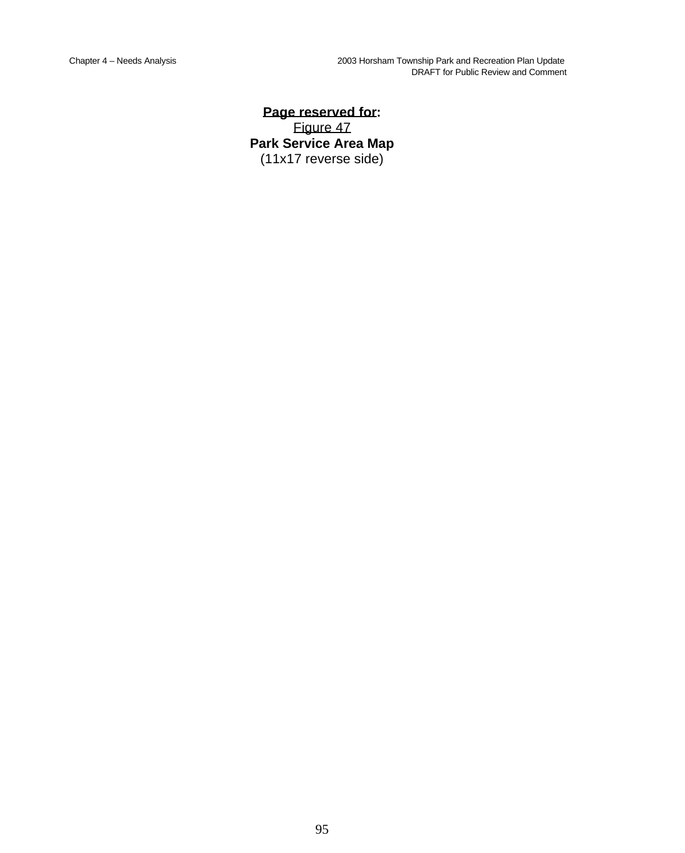**Page reserved for:** Figure 47 **Park Service Area Map** (11x17 reverse side)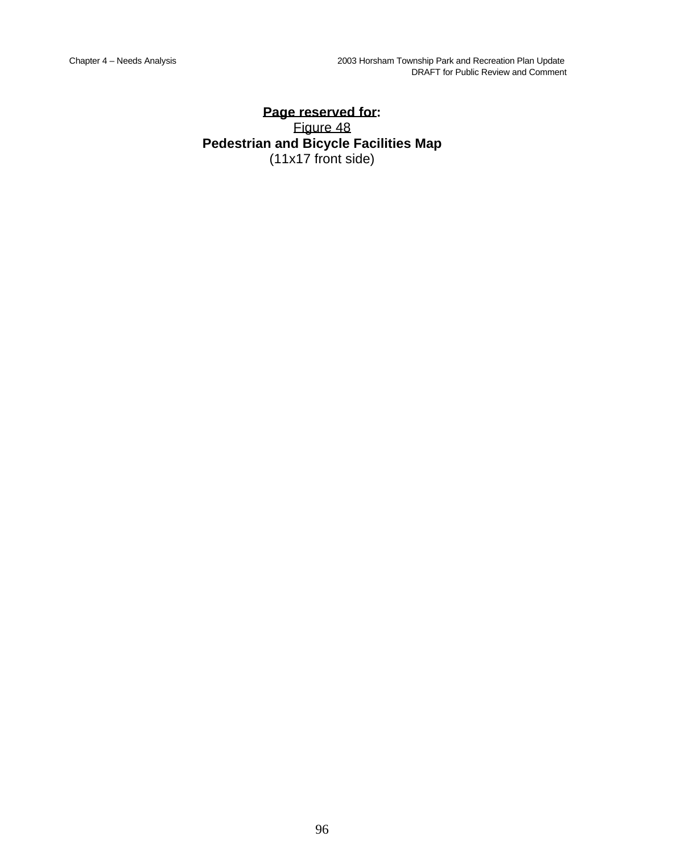## **Page reserved for:** Figure 48 **Pedestrian and Bicycle Facilities Map** (11x17 front side)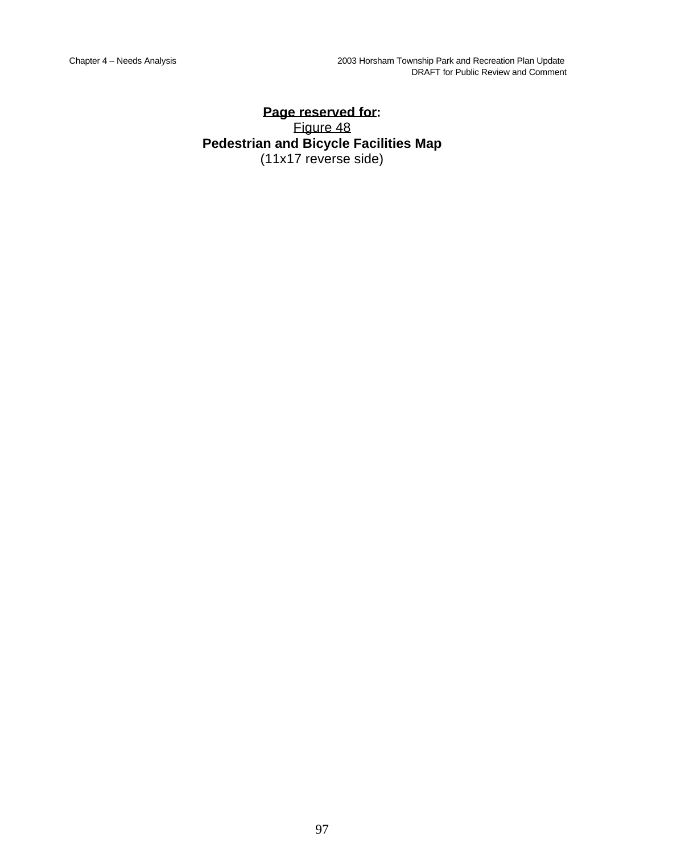## **Page reserved for:** Figure 48 **Pedestrian and Bicycle Facilities Map** (11x17 reverse side)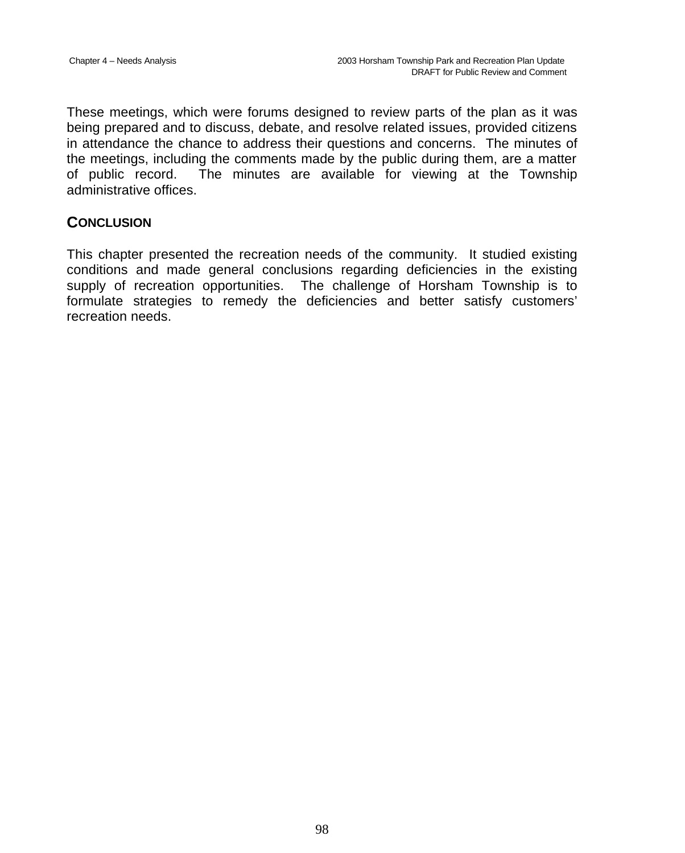These meetings, which were forums designed to review parts of the plan as it was being prepared and to discuss, debate, and resolve related issues, provided citizens in attendance the chance to address their questions and concerns. The minutes of the meetings, including the comments made by the public during them, are a matter of public record. The minutes are available for viewing at the Township administrative offices.

## **CONCLUSION**

This chapter presented the recreation needs of the community. It studied existing conditions and made general conclusions regarding deficiencies in the existing supply of recreation opportunities. The challenge of Horsham Township is to formulate strategies to remedy the deficiencies and better satisfy customers' recreation needs.